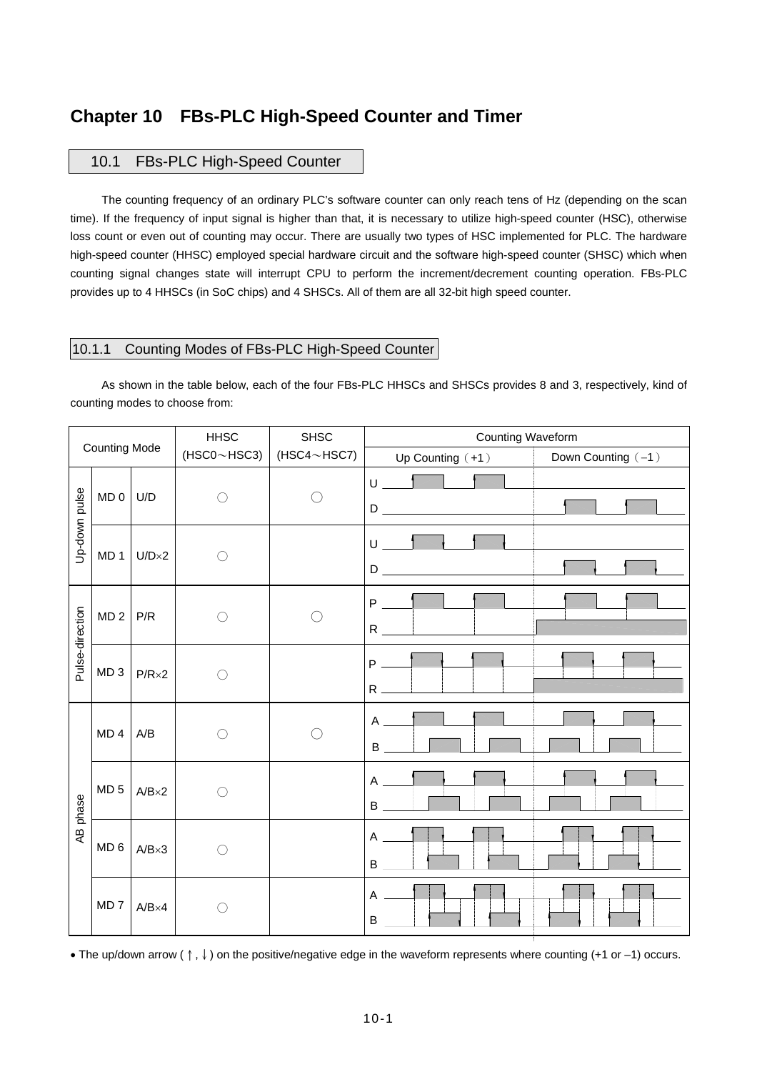# **Chapter 10 FBs-PLC High-Speed Counter and Timer**

## 10.1 FBs-PLC High-Speed Counter

The counting frequency of an ordinary PLC's software counter can only reach tens of Hz (depending on the scan time). If the frequency of input signal is higher than that, it is necessary to utilize high-speed counter (HSC), otherwise loss count or even out of counting may occur. There are usually two types of HSC implemented for PLC. The hardware high-speed counter (HHSC) employed special hardware circuit and the software high-speed counter (SHSC) which when counting signal changes state will interrupt CPU to perform the increment/decrement counting operation. FBs-PLC provides up to 4 HHSCs (in SoC chips) and 4 SHSCs. All of them are all 32-bit high speed counter.

## 10.1.1 Counting Modes of FBs-PLC High-Speed Counter

As shown in the table below, each of the four FBs-PLC HHSCs and SHSCs provides 8 and 3, respectively, kind of counting modes to choose from:

| <b>Counting Mode</b> |                 |                       | <b>HHSC</b> | <b>SHSC</b>               | Counting Waveform                                                                                                                                                                                                                                                                                                                                                                                                                   |  |  |  |
|----------------------|-----------------|-----------------------|-------------|---------------------------|-------------------------------------------------------------------------------------------------------------------------------------------------------------------------------------------------------------------------------------------------------------------------------------------------------------------------------------------------------------------------------------------------------------------------------------|--|--|--|
|                      |                 |                       |             | $(HSC0~HSC3)$ (HSC4~HSC7) | Down Counting (-1)<br>Up Counting $(+1)$                                                                                                                                                                                                                                                                                                                                                                                            |  |  |  |
|                      | MD 0            | U/D                   | ∩           |                           | $\cup$ $\qquad$<br>$\begin{picture}(180,10) \put(0,0){\line(1,0){10}} \put(10,0){\line(1,0){10}} \put(10,0){\line(1,0){10}} \put(10,0){\line(1,0){10}} \put(10,0){\line(1,0){10}} \put(10,0){\line(1,0){10}} \put(10,0){\line(1,0){10}} \put(10,0){\line(1,0){10}} \put(10,0){\line(1,0){10}} \put(10,0){\line(1,0){10}} \put(10,0){\line(1,0){10}} \put(10,0){\line($                                                              |  |  |  |
| Up-down pulse        |                 | $MD 1$ U/D $\times 2$ | $\bigcirc$  |                           | $U \begin{array}{ccc} & & \bullet \\ \hline & & \bullet \end{array}$<br>$D \begin{tabular}{ c c c } \hline \rule{0.3cm}{.03cm} \rule{0.3cm}{.03cm} \rule{0.3cm}{.03cm} \rule{0.3cm}{.03cm} \rule{0.3cm}{.03cm} \rule{0.3cm}{.03cm} \rule{0.3cm}{.03cm} \rule{0.3cm}{.03cm} \rule{0.3cm}{.03cm} \rule{0.3cm}{.03cm} \rule{0.3cm}{.03cm} \rule{0.3cm}{.03cm} \rule{0.3cm}{.03cm} \rule{0.3cm}{.03cm} \rule{0.3cm}{.03cm} \rule{0.3cm$ |  |  |  |
| Pulse-direction      | MD <sub>2</sub> | P/R                   | ◯           |                           | $P \qquad \qquad$                                                                                                                                                                                                                                                                                                                                                                                                                   |  |  |  |
|                      | MD <sub>3</sub> | $P/R \times 2$        | $\bigcirc$  |                           | P<br>$R =$                                                                                                                                                                                                                                                                                                                                                                                                                          |  |  |  |
| phase<br>Æ           | MD <sub>4</sub> | A/B                   | $\bigcirc$  |                           | $A \qquad \qquad$                                                                                                                                                                                                                                                                                                                                                                                                                   |  |  |  |
|                      | MD <sub>5</sub> | $A/B \times 2$        | $\bigcirc$  |                           | A<br>B                                                                                                                                                                                                                                                                                                                                                                                                                              |  |  |  |
|                      | MD <sub>6</sub> | $A/B\times 3$         | $\bigcap$   |                           | $\mathsf{A}$<br>B                                                                                                                                                                                                                                                                                                                                                                                                                   |  |  |  |
|                      | MD <sub>7</sub> | $A/B\times 4$         | C           |                           | A<br>B                                                                                                                                                                                                                                                                                                                                                                                                                              |  |  |  |

• The up/down arrow (↑,↓) on the positive/negative edge in the waveform represents where counting (+1 or –1) occurs.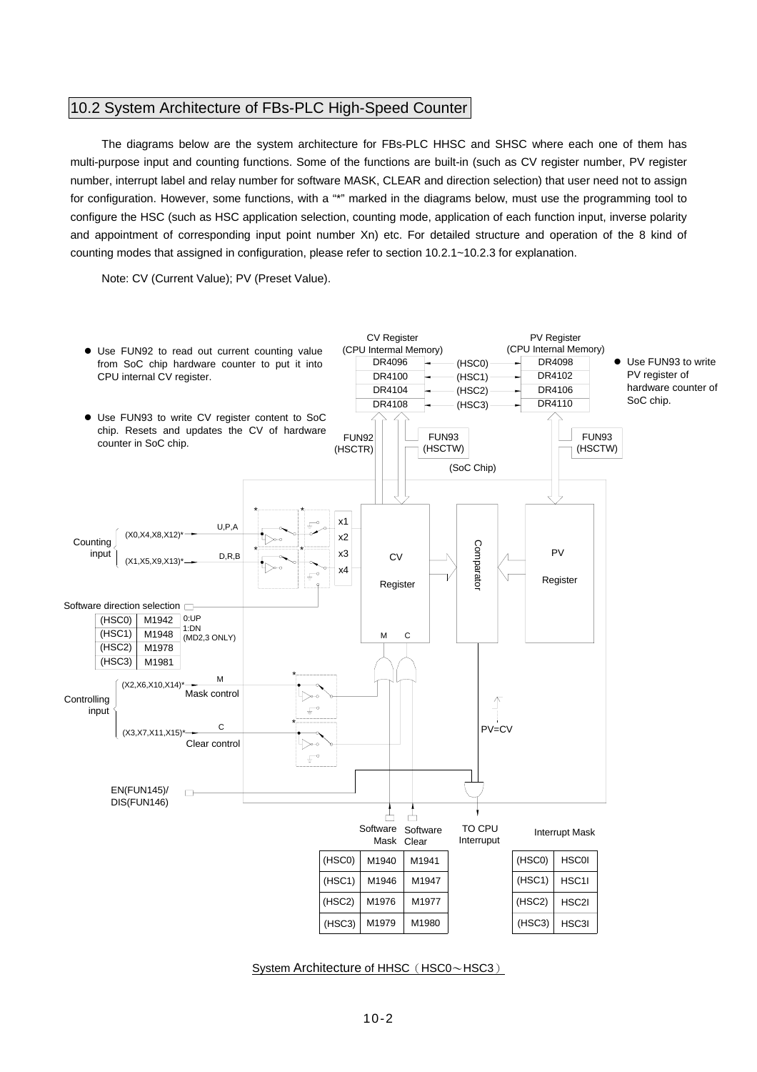## 10.2 System Architecture of FBs-PLC High-Speed Counter

The diagrams below are the system architecture for FBs-PLC HHSC and SHSC where each one of them has multi-purpose input and counting functions. Some of the functions are built-in (such as CV register number, PV register number, interrupt label and relay number for software MASK, CLEAR and direction selection) that user need not to assign for configuration. However, some functions, with a "\*" marked in the diagrams below, must use the programming tool to configure the HSC (such as HSC application selection, counting mode, application of each function input, inverse polarity and appointment of corresponding input point number Xn) etc. For detailed structure and operation of the 8 kind of counting modes that assigned in configuration, please refer to section 10.2.1~10.2.3 for explanation.

Note: CV (Current Value); PV (Preset Value).



System Architecture of HHSC (HSC0~HSC3)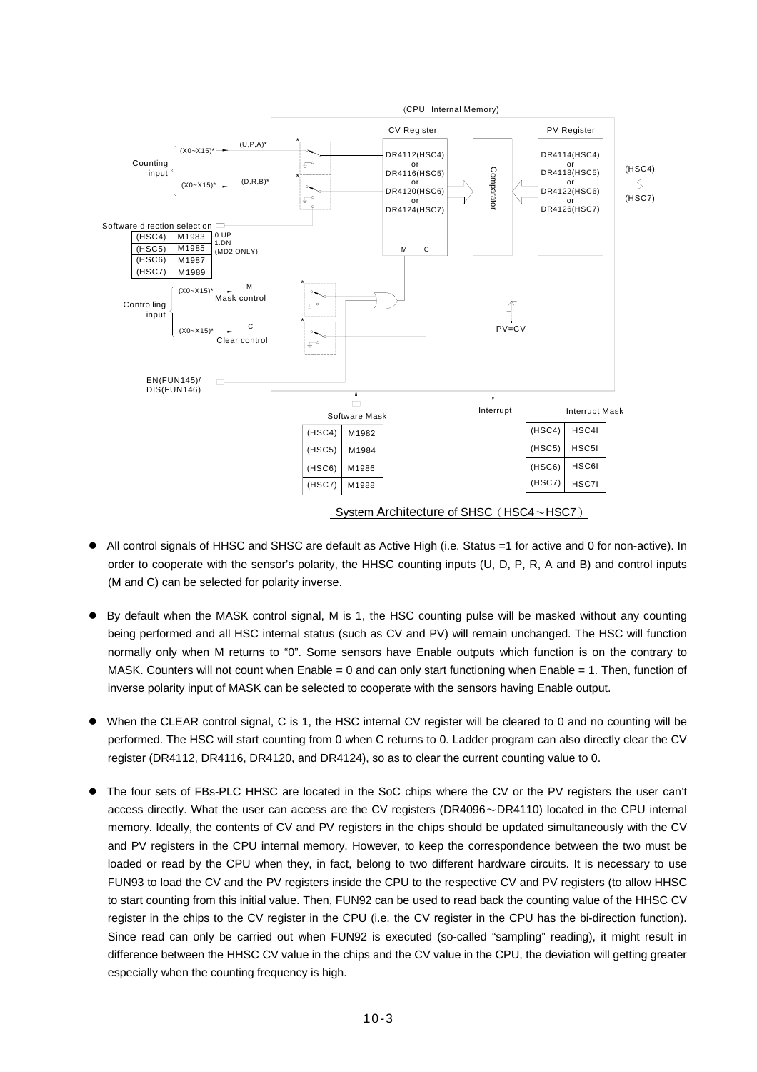

- All control signals of HHSC and SHSC are default as Active High (i.e. Status =1 for active and 0 for non-active). In order to cooperate with the sensor's polarity, the HHSC counting inputs (U, D, P, R, A and B) and control inputs (M and C) can be selected for polarity inverse.
- By default when the MASK control signal, M is 1, the HSC counting pulse will be masked without any counting being performed and all HSC internal status (such as CV and PV) will remain unchanged. The HSC will function normally only when M returns to "0". Some sensors have Enable outputs which function is on the contrary to MASK. Counters will not count when Enable = 0 and can only start functioning when Enable = 1. Then, function of inverse polarity input of MASK can be selected to cooperate with the sensors having Enable output.
- When the CLEAR control signal, C is 1, the HSC internal CV register will be cleared to 0 and no counting will be performed. The HSC will start counting from 0 when C returns to 0. Ladder program can also directly clear the CV register (DR4112, DR4116, DR4120, and DR4124), so as to clear the current counting value to 0.
- The four sets of FBs-PLC HHSC are located in the SoC chips where the CV or the PV registers the user can't access directly. What the user can access are the CV registers (DR4096~DR4110) located in the CPU internal memory. Ideally, the contents of CV and PV registers in the chips should be updated simultaneously with the CV and PV registers in the CPU internal memory. However, to keep the correspondence between the two must be loaded or read by the CPU when they, in fact, belong to two different hardware circuits. It is necessary to use FUN93 to load the CV and the PV registers inside the CPU to the respective CV and PV registers (to allow HHSC to start counting from this initial value. Then, FUN92 can be used to read back the counting value of the HHSC CV register in the chips to the CV register in the CPU (i.e. the CV register in the CPU has the bi-direction function). Since read can only be carried out when FUN92 is executed (so-called "sampling" reading), it might result in difference between the HHSC CV value in the chips and the CV value in the CPU, the deviation will getting greater especially when the counting frequency is high.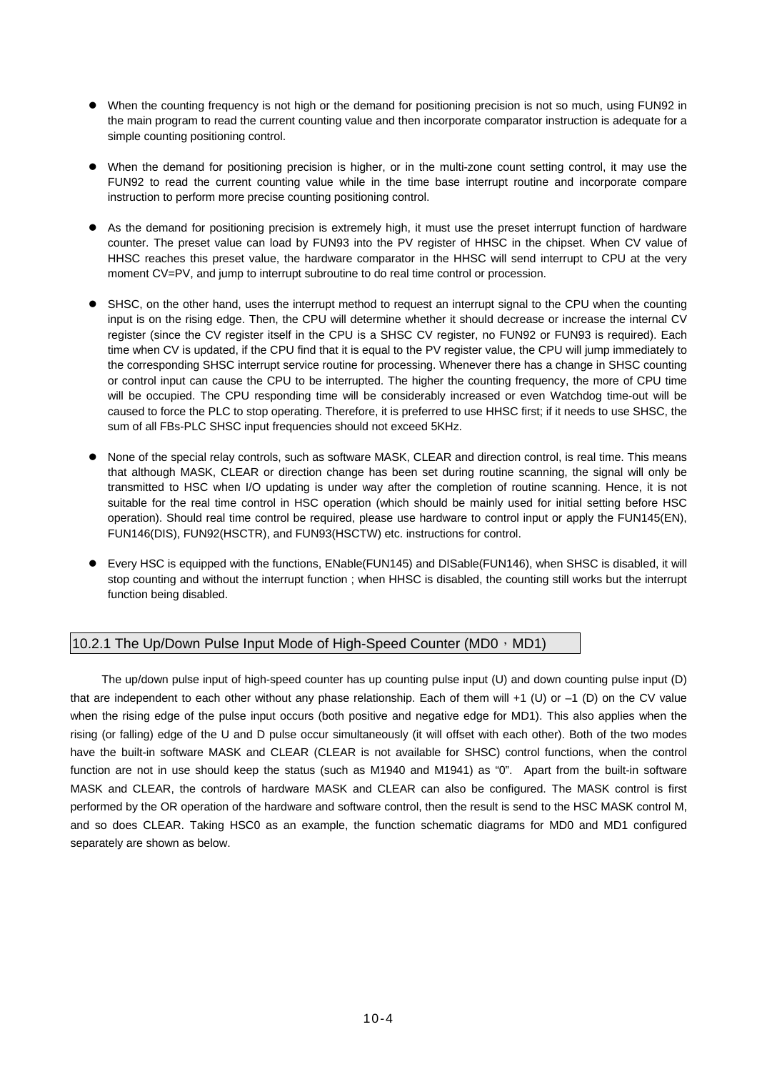- When the counting frequency is not high or the demand for positioning precision is not so much, using FUN92 in the main program to read the current counting value and then incorporate comparator instruction is adequate for a simple counting positioning control.
- When the demand for positioning precision is higher, or in the multi-zone count setting control, it may use the FUN92 to read the current counting value while in the time base interrupt routine and incorporate compare instruction to perform more precise counting positioning control.
- As the demand for positioning precision is extremely high, it must use the preset interrupt function of hardware counter. The preset value can load by FUN93 into the PV register of HHSC in the chipset. When CV value of HHSC reaches this preset value, the hardware comparator in the HHSC will send interrupt to CPU at the very moment CV=PV, and jump to interrupt subroutine to do real time control or procession.
- SHSC, on the other hand, uses the interrupt method to request an interrupt signal to the CPU when the counting input is on the rising edge. Then, the CPU will determine whether it should decrease or increase the internal CV register (since the CV register itself in the CPU is a SHSC CV register, no FUN92 or FUN93 is required). Each time when CV is updated, if the CPU find that it is equal to the PV register value, the CPU will jump immediately to the corresponding SHSC interrupt service routine for processing. Whenever there has a change in SHSC counting or control input can cause the CPU to be interrupted. The higher the counting frequency, the more of CPU time will be occupied. The CPU responding time will be considerably increased or even Watchdog time-out will be caused to force the PLC to stop operating. Therefore, it is preferred to use HHSC first; if it needs to use SHSC, the sum of all FBs-PLC SHSC input frequencies should not exceed 5KHz.
- None of the special relay controls, such as software MASK, CLEAR and direction control, is real time. This means that although MASK, CLEAR or direction change has been set during routine scanning, the signal will only be transmitted to HSC when I/O updating is under way after the completion of routine scanning. Hence, it is not suitable for the real time control in HSC operation (which should be mainly used for initial setting before HSC operation). Should real time control be required, please use hardware to control input or apply the FUN145(EN), FUN146(DIS), FUN92(HSCTR), and FUN93(HSCTW) etc. instructions for control.
- Every HSC is equipped with the functions, ENable(FUN145) and DISable(FUN146), when SHSC is disabled, it will stop counting and without the interrupt function ; when HHSC is disabled, the counting still works but the interrupt function being disabled.

## 10.2.1 The Up/Down Pulse Input Mode of High-Speed Counter (MD0, MD1)

The up/down pulse input of high-speed counter has up counting pulse input (U) and down counting pulse input (D) that are independent to each other without any phase relationship. Each of them will +1 (U) or –1 (D) on the CV value when the rising edge of the pulse input occurs (both positive and negative edge for MD1). This also applies when the rising (or falling) edge of the U and D pulse occur simultaneously (it will offset with each other). Both of the two modes have the built-in software MASK and CLEAR (CLEAR is not available for SHSC) control functions, when the control function are not in use should keep the status (such as M1940 and M1941) as "0". Apart from the built-in software MASK and CLEAR, the controls of hardware MASK and CLEAR can also be configured. The MASK control is first performed by the OR operation of the hardware and software control, then the result is send to the HSC MASK control M, and so does CLEAR. Taking HSC0 as an example, the function schematic diagrams for MD0 and MD1 configured separately are shown as below.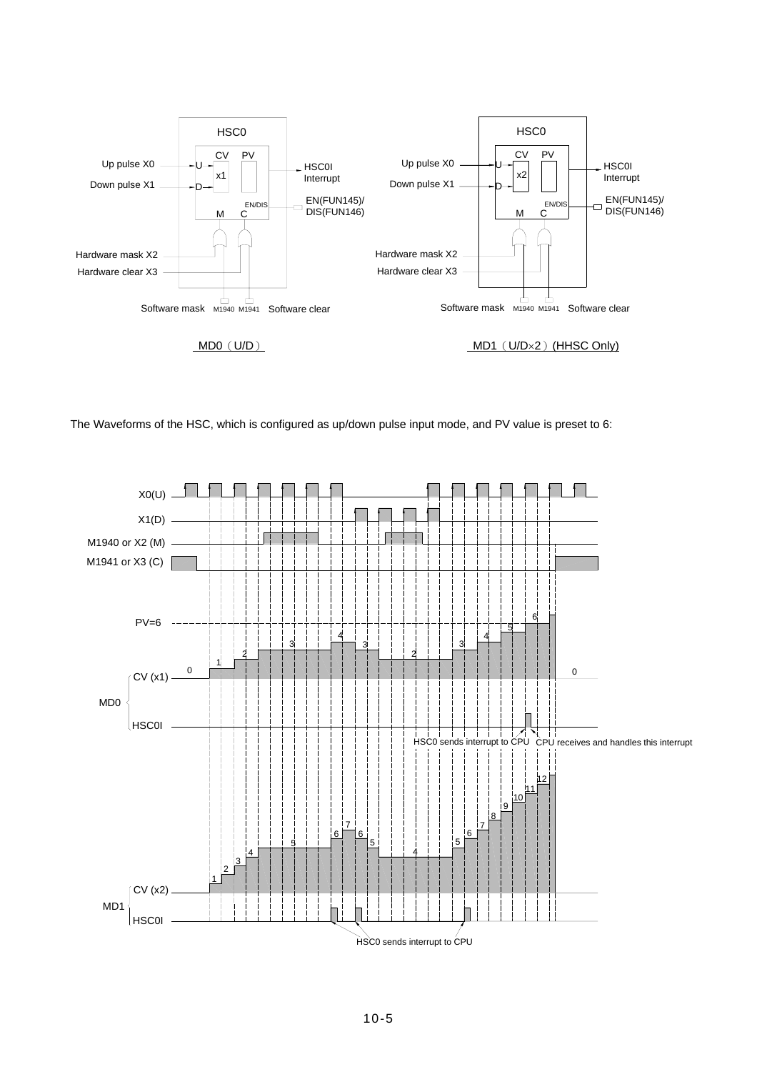

The Waveforms of the HSC, which is configured as up/down pulse input mode, and PV value is preset to 6:

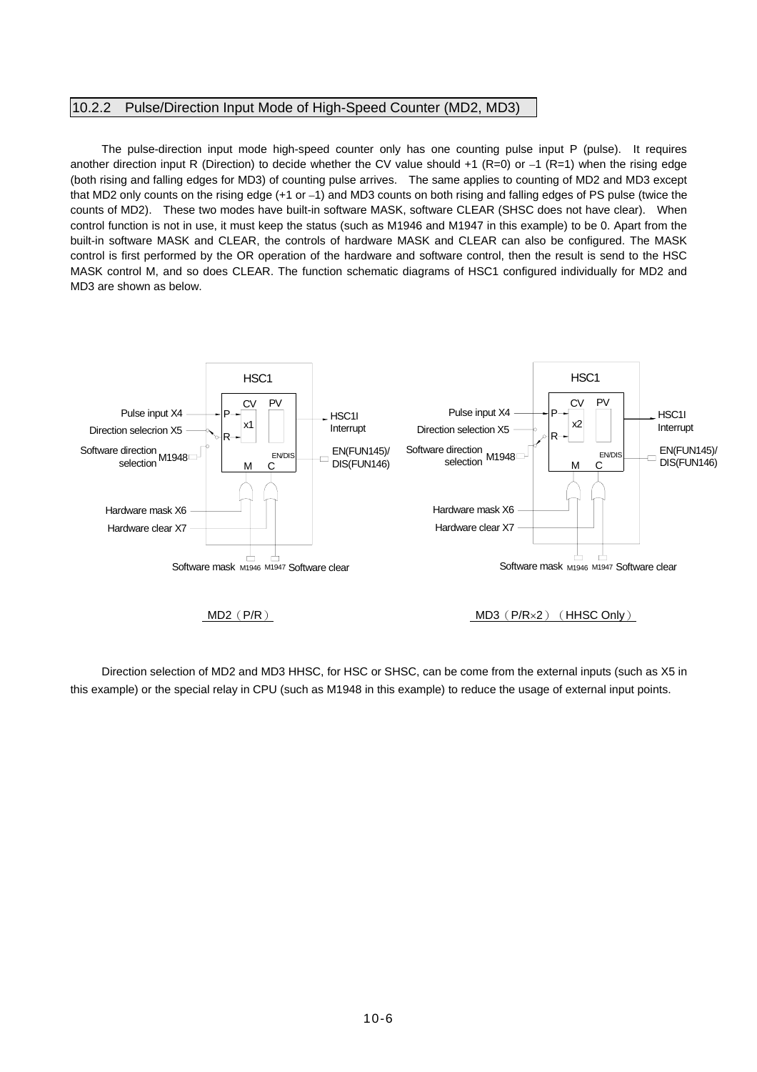#### 10.2.2 Pulse/Direction Input Mode of High-Speed Counter (MD2, MD3)

The pulse-direction input mode high-speed counter only has one counting pulse input P (pulse). It requires another direction input R (Direction) to decide whether the CV value should  $+1$  (R=0) or  $-1$  (R=1) when the rising edge (both rising and falling edges for MD3) of counting pulse arrives. The same applies to counting of MD2 and MD3 except that MD2 only counts on the rising edge (+1 or –1) and MD3 counts on both rising and falling edges of PS pulse (twice the counts of MD2). These two modes have built-in software MASK, software CLEAR (SHSC does not have clear). When control function is not in use, it must keep the status (such as M1946 and M1947 in this example) to be 0. Apart from the built-in software MASK and CLEAR, the controls of hardware MASK and CLEAR can also be configured. The MASK control is first performed by the OR operation of the hardware and software control, then the result is send to the HSC MASK control M, and so does CLEAR. The function schematic diagrams of HSC1 configured individually for MD2 and MD3 are shown as below.



Direction selection of MD2 and MD3 HHSC, for HSC or SHSC, can be come from the external inputs (such as X5 in this example) or the special relay in CPU (such as M1948 in this example) to reduce the usage of external input points.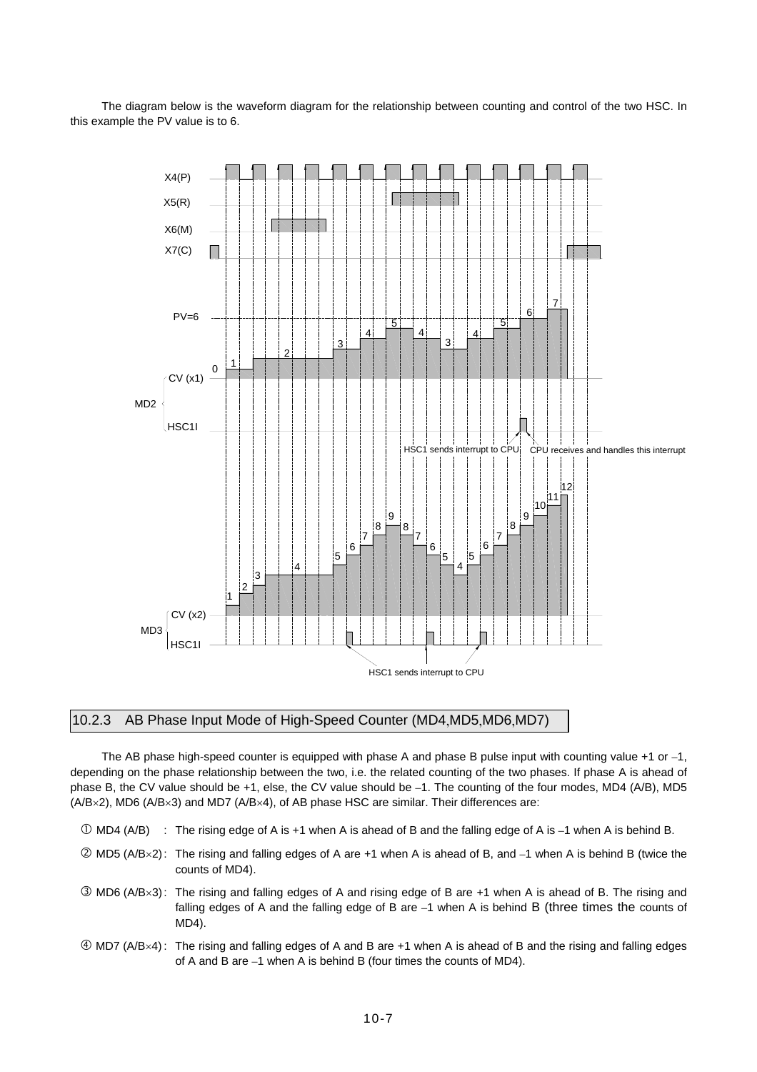The diagram below is the waveform diagram for the relationship between counting and control of the two HSC. In this example the PV value is to 6.



## 10.2.3 AB Phase Input Mode of High-Speed Counter (MD4,MD5,MD6,MD7)

The AB phase high-speed counter is equipped with phase A and phase B pulse input with counting value +1 or –1, depending on the phase relationship between the two, i.e. the related counting of the two phases. If phase A is ahead of phase B, the CV value should be +1, else, the CV value should be –1. The counting of the four modes, MD4 (A/B), MD5 (A/B×2), MD6 (A/B×3) and MD7 (A/B×4), of AB phase HSC are similar. Their differences are:

- $\overline{O}$  MD4 (A/B) : The rising edge of A is +1 when A is ahead of B and the falling edge of A is -1 when A is behind B.
- $\oslash$  MD5 (A/B×2): The rising and falling edges of A are +1 when A is ahead of B, and  $-1$  when A is behind B (twice the counts of MD4).
- **3** MD6 (A/B×3): The rising and falling edges of A and rising edge of B are +1 when A is ahead of B. The rising and falling edges of A and the falling edge of B are –1 when A is behind B (three times the counts of MD4).
- f MD7 (A/B×4) : The rising and falling edges of A and B are +1 when A is ahead of B and the rising and falling edges of A and B are –1 when A is behind B (four times the counts of MD4).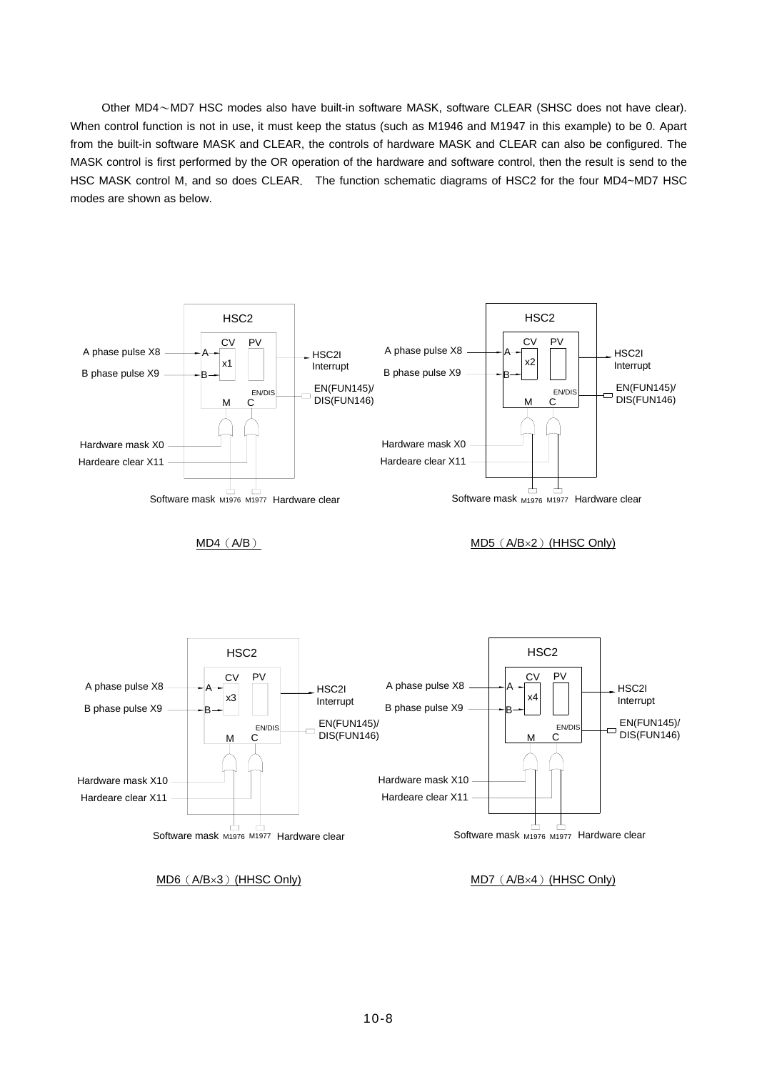Other MD4~MD7 HSC modes also have built-in software MASK, software CLEAR (SHSC does not have clear). When control function is not in use, it must keep the status (such as M1946 and M1947 in this example) to be 0. Apart from the built-in software MASK and CLEAR, the controls of hardware MASK and CLEAR can also be configured. The MASK control is first performed by the OR operation of the hardware and software control, then the result is send to the HSC MASK control M, and so does CLEAR. The function schematic diagrams of HSC2 for the four MD4~MD7 HSC modes are shown as below.

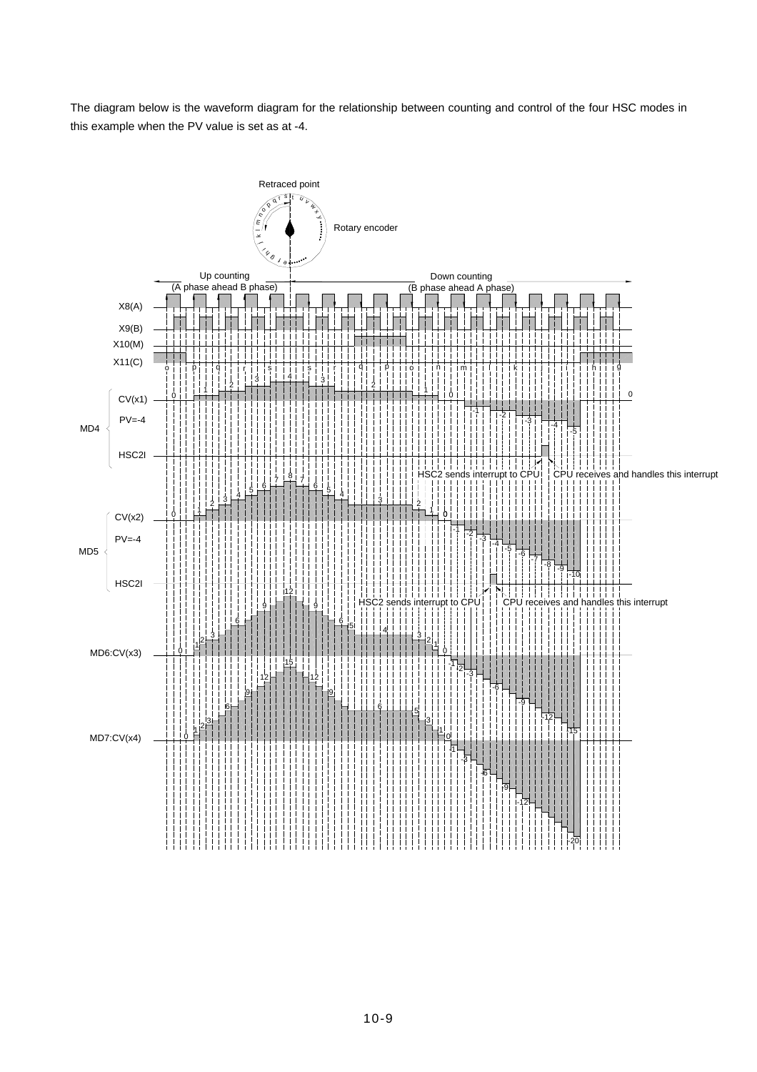The diagram below is the waveform diagram for the relationship between counting and control of the four HSC modes in this example when the PV value is set as at -4.

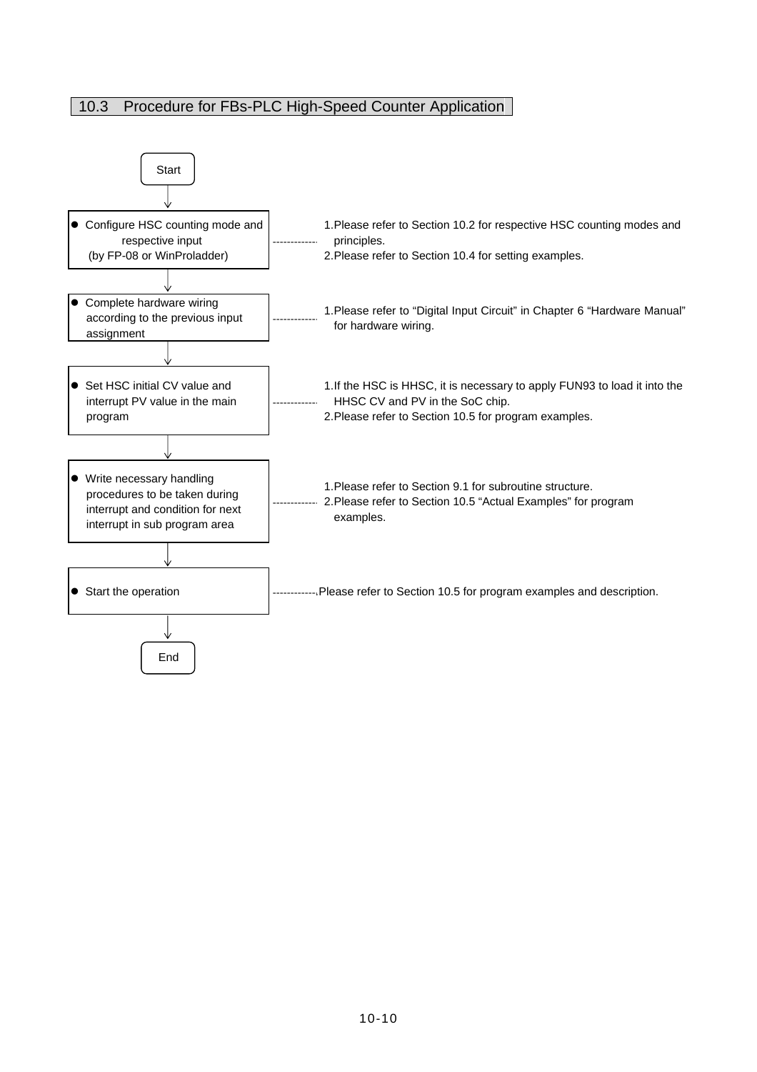# 10.3 Procedure for FBs-PLC High-Speed Counter Application

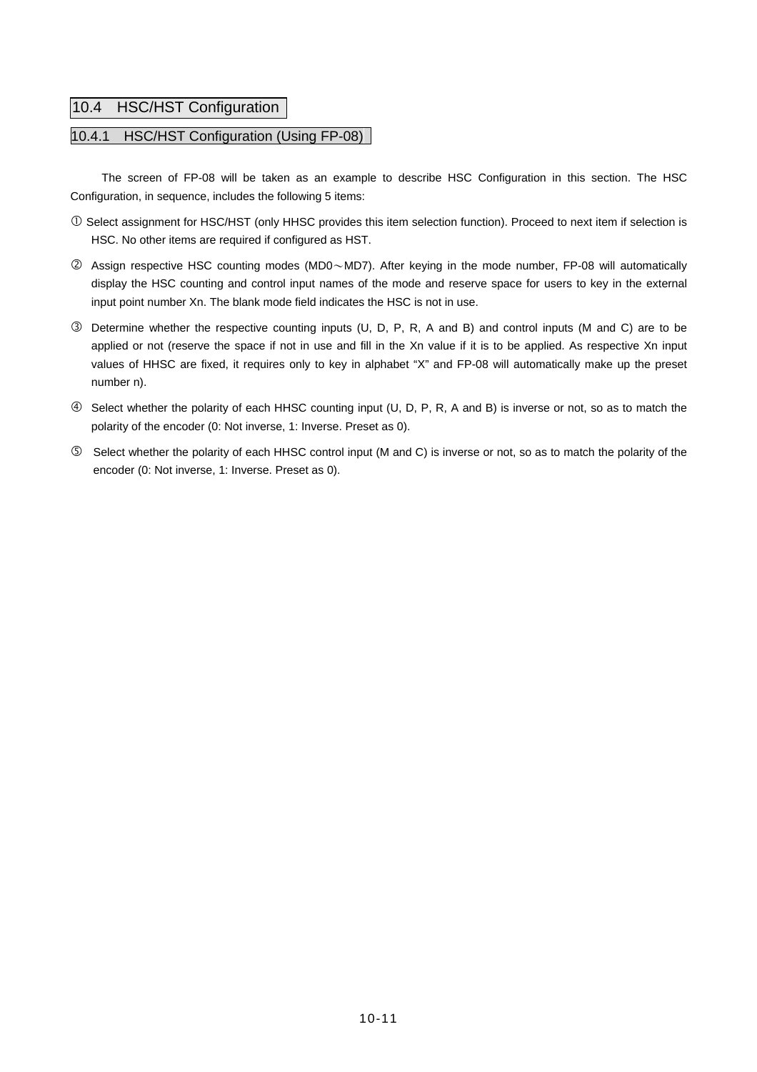## 10.4 HSC/HST Configuration

## 10.4.1 HSC/HST Configuration (Using FP-08)

The screen of FP-08 will be taken as an example to describe HSC Configuration in this section. The HSC Configuration, in sequence, includes the following 5 items:

- c Select assignment for HSC/HST (only HHSC provides this item selection function). Proceed to next item if selection is HSC. No other items are required if configured as HST.
- d Assign respective HSC counting modes (MD0~MD7). After keying in the mode number, FP-08 will automatically display the HSC counting and control input names of the mode and reserve space for users to key in the external input point number Xn. The blank mode field indicates the HSC is not in use.
- e Determine whether the respective counting inputs (U, D, P, R, A and B) and control inputs (M and C) are to be applied or not (reserve the space if not in use and fill in the Xn value if it is to be applied. As respective Xn input values of HHSC are fixed, it requires only to key in alphabet "X" and FP-08 will automatically make up the preset number n).
- f Select whether the polarity of each HHSC counting input (U, D, P, R, A and B) is inverse or not, so as to match the polarity of the encoder (0: Not inverse, 1: Inverse. Preset as 0).
- g Select whether the polarity of each HHSC control input (M and C) is inverse or not, so as to match the polarity of the encoder (0: Not inverse, 1: Inverse. Preset as 0).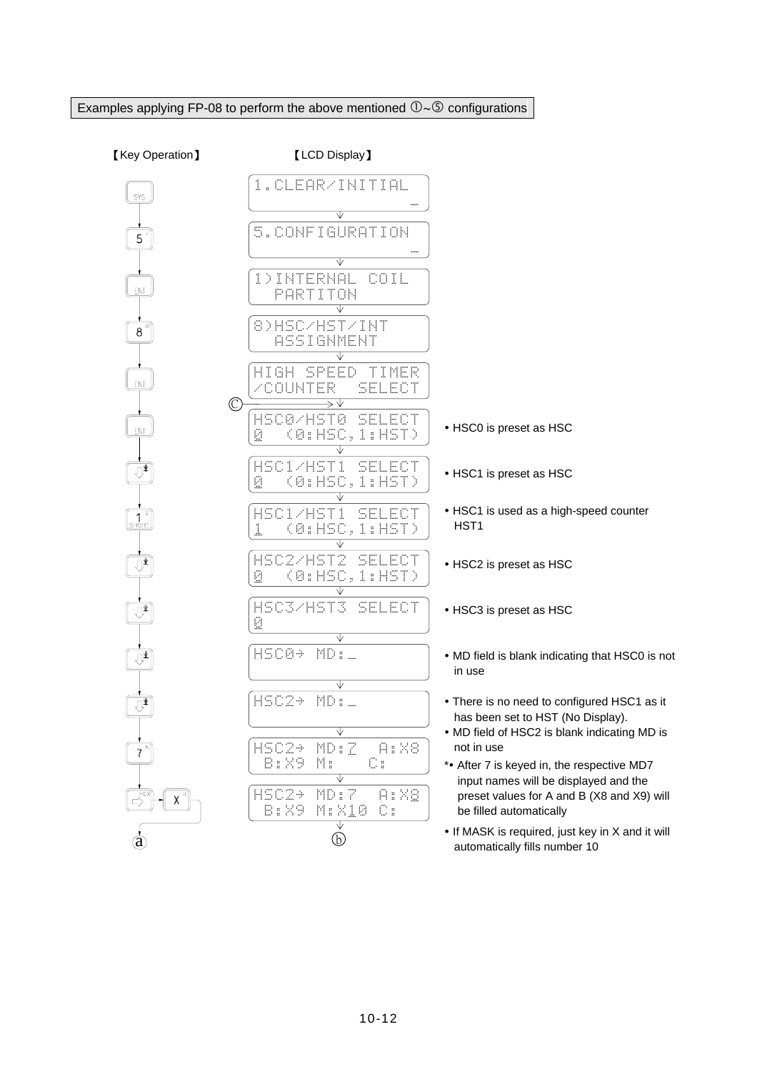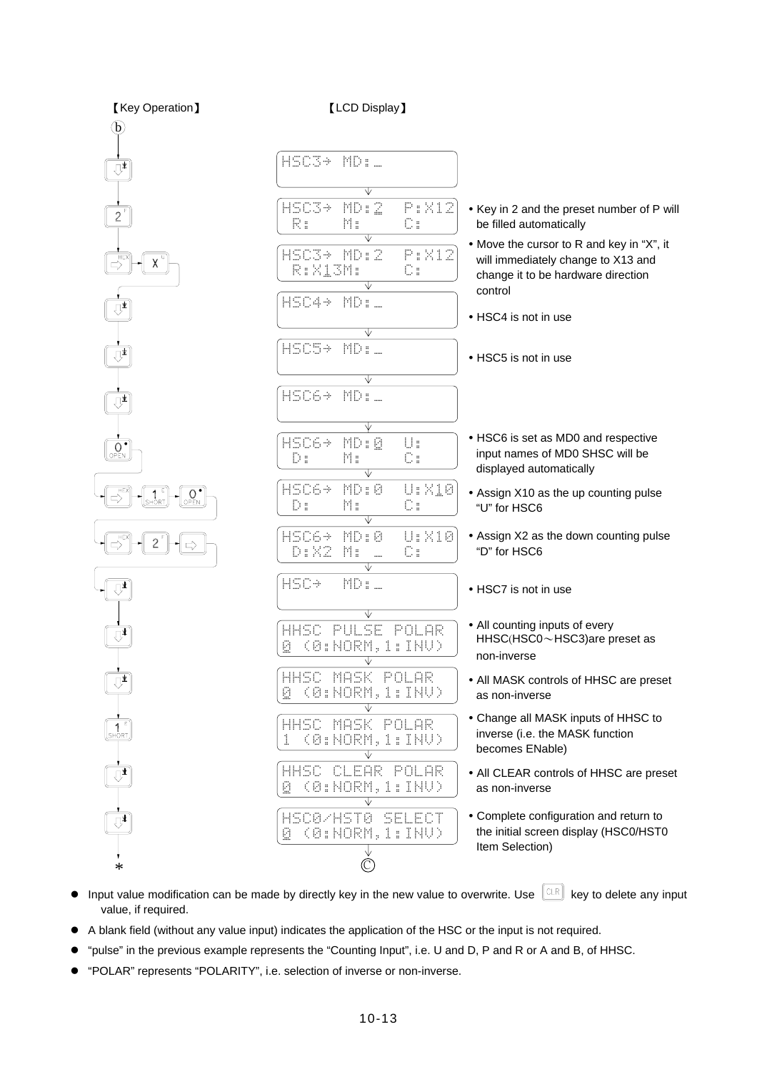

- $\bullet$  Input value modification can be made by directly key in the new value to overwrite. Use  $\left[\begin{array}{c} \mathbb{C}\mathbb{R} \\ \end{array}\right]$  key to delete any input value, if required.
- A blank field (without any value input) indicates the application of the HSC or the input is not required.
- "pulse" in the previous example represents the "Counting Input", i.e. U and D, P and R or A and B, of HHSC.
- "POLAR" represents "POLARITY", i.e. selection of inverse or non-inverse.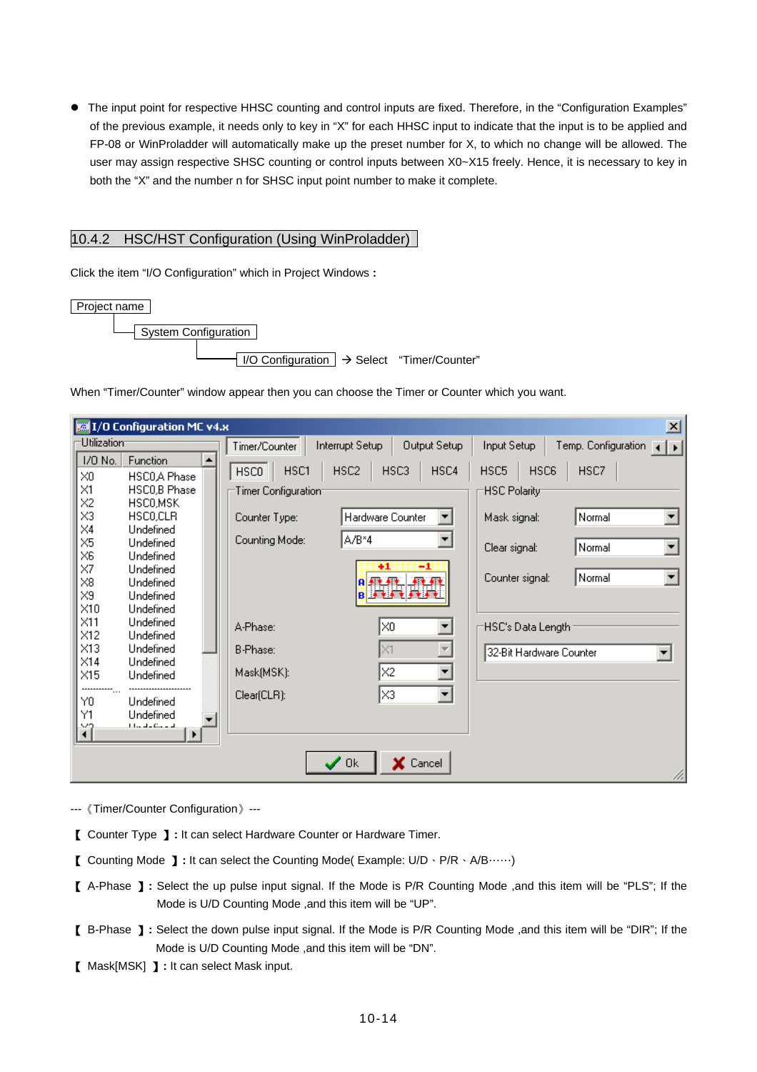• The input point for respective HHSC counting and control inputs are fixed. Therefore, in the "Configuration Examples" of the previous example, it needs only to key in "X" for each HHSC input to indicate that the input is to be applied and FP-08 or WinProladder will automatically make up the preset number for X, to which no change will be allowed. The user may assign respective SHSC counting or control inputs between X0~X15 freely. Hence, it is necessary to key in both the "X" and the number n for SHSC input point number to make it complete.

## 10.4.2 HSC/HST Configuration (Using WinProladder)

Click the item "I/O Configuration" which in Project Windows **:** 

| Project name                                                         |  |
|----------------------------------------------------------------------|--|
| -System Configuration                                                |  |
| $\vert$ I/O Configuration $\vert \rightarrow$ Select "Timer/Counter" |  |

When "Timer/Counter" window appear then you can choose the Timer or Counter which you want.

| 1/0 Configuration MC v4.x<br>즤                      |  |                     |                          |                      |                           |                         |                           |    |  |
|-----------------------------------------------------|--|---------------------|--------------------------|----------------------|---------------------------|-------------------------|---------------------------|----|--|
| Utilization                                         |  | Timer/Counter       | Interrupt Setup          | Output Setup         | Input Setup               |                         | Temp. Configuration (   ) |    |  |
| 1/0 No.<br>Function                                 |  |                     |                          |                      |                           |                         |                           |    |  |
| $\times 0$<br>HSCO <sub>A</sub> Phase               |  | HSC1<br><b>HSCO</b> | HSC <sub>2</sub><br>HSC3 | HSC4                 | HSC5                      | HSC6                    | HSC7                      |    |  |
| $\times1$<br>HSCO,B Phase                           |  | Timer Configuration |                          |                      | HSC Polarity <sup>.</sup> |                         |                           |    |  |
| X <sub>2</sub><br>HSCO,MSK                          |  |                     |                          |                      |                           |                         |                           |    |  |
| $\times 3$<br>HSCO.CLR                              |  | Counter Type:       | Hardware Counter         |                      | Mask signal:              |                         | Normal                    |    |  |
| $\times4$<br>Undefined                              |  |                     |                          |                      |                           |                         |                           |    |  |
| $\times 5$<br>Undefined                             |  | Counting Mode:      | A/B*4                    |                      | Clear signal:             |                         | Normal                    |    |  |
| $\times 6$<br>Undefined                             |  |                     | $+1$                     | -1                   |                           |                         |                           |    |  |
| $\times$ 7<br>Undefined                             |  |                     | <b>Aftit</b>             | 不起手机                 | Counter signal:           |                         | Normal                    | ▼  |  |
| $\times 8$<br>Undefined                             |  |                     |                          | <b>BLACK FLAT</b>    |                           |                         |                           |    |  |
| $\times 9$<br>Undefined<br>$\times$ 10<br>Undefined |  |                     |                          |                      |                           |                         |                           |    |  |
| $\times$ 11<br>Undefined                            |  |                     |                          |                      |                           |                         |                           |    |  |
| X12<br>Undefined                                    |  | A-Phase:            | l×0                      |                      |                           | HSC's Data Length       |                           |    |  |
| X13<br>Undefined                                    |  | B-Phase:            | I×1                      |                      |                           |                         |                           |    |  |
| $\times$ 14<br>Undefined                            |  |                     |                          |                      |                           | 32-Bit Hardware Counter |                           | ▼∣ |  |
| $\times$ 15<br>Undefined                            |  | Mask(MSK):          | X2                       | ▼                    |                           |                         |                           |    |  |
| -----------                                         |  |                     |                          |                      |                           |                         |                           |    |  |
| Y0<br>Undefined                                     |  | $Clear(CLR)$ :      | lхз                      | $\blacktriangledown$ |                           |                         |                           |    |  |
| Υ1<br>Undefined                                     |  |                     |                          |                      |                           |                         |                           |    |  |
| $11.44 + 0.44 = 14$<br>ĭÎ                           |  |                     |                          |                      |                           |                         |                           |    |  |
|                                                     |  |                     |                          |                      |                           |                         |                           |    |  |
|                                                     |  |                     | 0k                       | X Cancel             |                           |                         |                           |    |  |
|                                                     |  |                     |                          |                      |                           |                         |                           |    |  |

- ---《Timer/Counter Configuration》---
- 【 Counter Type 】**:** It can select Hardware Counter or Hardware Timer.
- 【 Counting Mode 】**:** It can select the Counting Mode( Example: U/D、P/R、A/B……)
- 【 A-Phase 】**:** Select the up pulse input signal. If the Mode is P/R Counting Mode ,and this item will be "PLS"; If the Mode is U/D Counting Mode ,and this item will be "UP".
- 【 B-Phase 】**:** Select the down pulse input signal. If the Mode is P/R Counting Mode ,and this item will be "DIR"; If the Mode is U/D Counting Mode ,and this item will be "DN".
- 【 Mask[MSK] 】**:** It can select Mask input.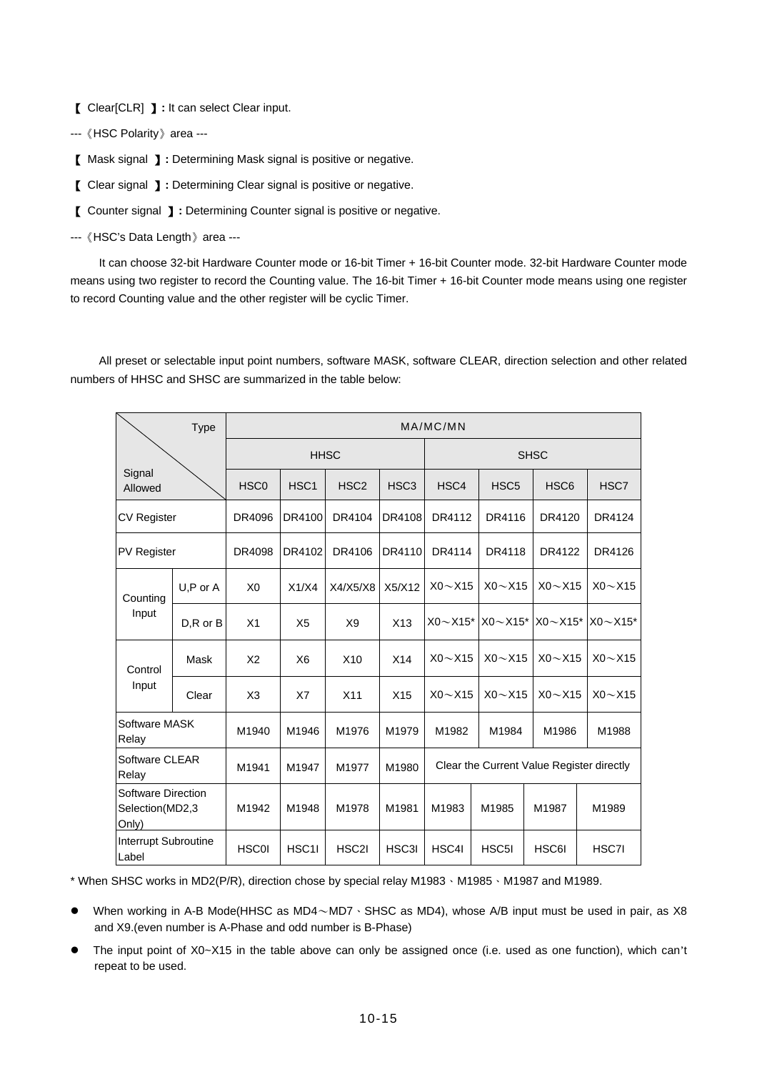【 Clear[CLR] 】**:** It can select Clear input.

---《HSC Polarity》area ---

【 Mask signal 】**:** Determining Mask signal is positive or negative.

【 Clear signal 】**:** Determining Clear signal is positive or negative.

【 Counter signal 】**:** Determining Counter signal is positive or negative.

---《HSC's Data Length》area ---

 It can choose 32-bit Hardware Counter mode or 16-bit Timer + 16-bit Counter mode. 32-bit Hardware Counter mode means using two register to record the Counting value. The 16-bit Timer + 16-bit Counter mode means using one register to record Counting value and the other register will be cyclic Timer.

 All preset or selectable input point numbers, software MASK, software CLEAR, direction selection and other related numbers of HHSC and SHSC are summarized in the table below:

|                                                       | <b>Type</b>   | MA/MC/MN         |                  |                  |                  |                                           |                    |                  |                 |
|-------------------------------------------------------|---------------|------------------|------------------|------------------|------------------|-------------------------------------------|--------------------|------------------|-----------------|
|                                                       |               | <b>HHSC</b>      |                  |                  |                  | <b>SHSC</b>                               |                    |                  |                 |
| Signal<br>Allowed                                     |               | HSC <sub>0</sub> | HSC <sub>1</sub> | HSC <sub>2</sub> | HSC <sub>3</sub> | HSC4                                      | HSC <sub>5</sub>   | HSC <sub>6</sub> | HSC7            |
| <b>CV Register</b>                                    |               | DR4096           | DR4100           | DR4104           | DR4108           | DR4112                                    | DR4116             | DR4120           | DR4124          |
| <b>PV Register</b>                                    |               | DR4098           | DR4102           | DR4106           | DR4110           | DR4114                                    | DR4118             | DR4122           | DR4126          |
| Counting                                              | U,P or A      | X <sub>0</sub>   | X1/X4            | X4/X5/X8         | X5/X12           | $X0 \sim X15$                             | $X0 \sim X15$      | $X0 \sim X15$    | $X0 \sim X15$   |
| Input                                                 | $D, R$ or $B$ | X <sub>1</sub>   | X <sub>5</sub>   | X <sub>9</sub>   | X13              | $X0 \sim X15$ *                           | $X0 \sim X15$ *    | $X0 \sim X15$ *  | $X0 \sim X15$ * |
| Control                                               | Mask          | X <sub>2</sub>   | X6               | X <sub>10</sub>  | X14              | $X0 \sim X15$                             | $X0 \sim X15$      | $X0 \sim X15$    | $X0 \sim X15$   |
| Input                                                 | Clear         | X <sub>3</sub>   | X7               | X11              | X15              | $X0 \sim X15$                             | $X0 \sim X15$      | $X0 \sim X15$    | $X0 \sim X15$   |
| <b>Software MASK</b><br>Relay                         |               | M1940            | M1946            | M1976            | M1979            | M1982                                     | M1984              | M1986            | M1988           |
| Software CLEAR<br>Relay                               |               | M1941            | M1947            | M1977            | M1980            | Clear the Current Value Register directly |                    |                  |                 |
| <b>Software Direction</b><br>Selection(MD2,3<br>Only) |               | M1942            | M1948            | M1978            | M1981            | M1983                                     | M1985              | M1987            | M1989           |
| Interrupt Subroutine<br>Label                         |               | <b>HSC0I</b>     | HSC1I            | HSC2I            | HSC3I            | HSC4I                                     | HSC <sub>5</sub> I | HSC6I            | HSC7I           |

\* When SHSC works in MD2(P/R), direction chose by special relay M1983、M1985、M1987 and M1989.

- When working in A-B Mode(HHSC as MD4 $\sim$ MD7  $\cdot$  SHSC as MD4), whose A/B input must be used in pair, as X8 and X9.(even number is A-Phase and odd number is B-Phase)
- The input point of X0~X15 in the table above can only be assigned once (i.e. used as one function), which can't repeat to be used.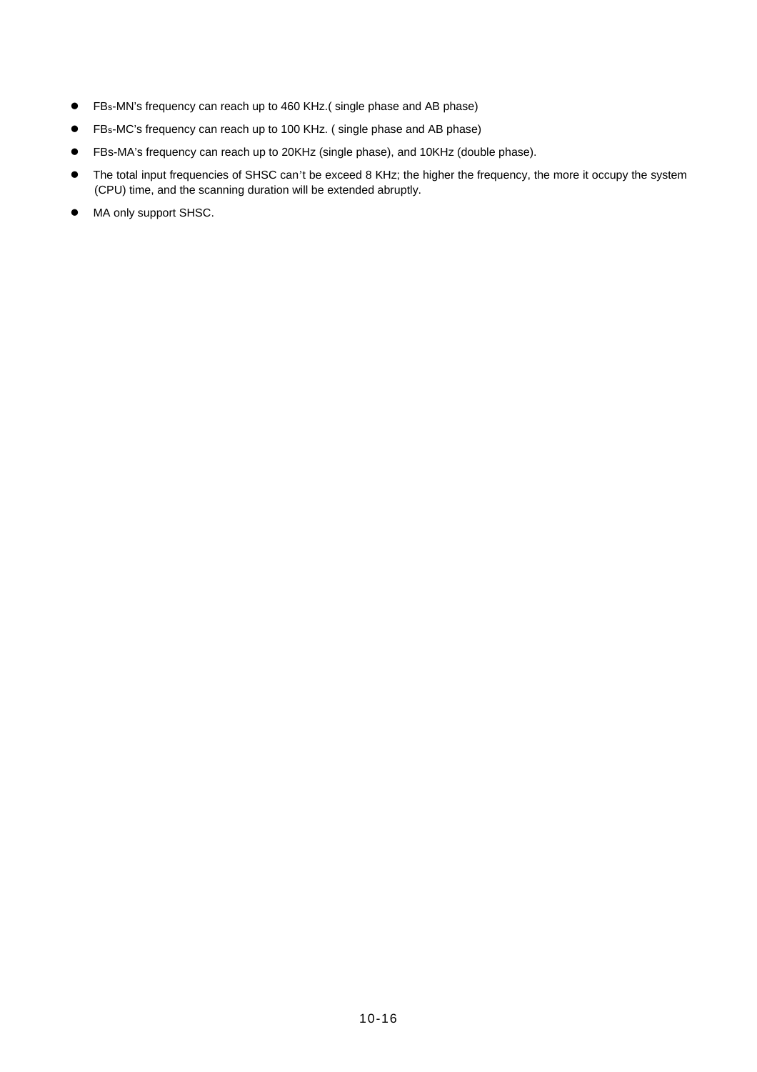- FBs-MN's frequency can reach up to 460 KHz.( single phase and AB phase)
- FBs-MC's frequency can reach up to 100 KHz. ( single phase and AB phase)
- FBs-MA's frequency can reach up to 20KHz (single phase), and 10KHz (double phase).
- The total input frequencies of SHSC can't be exceed 8 KHz; the higher the frequency, the more it occupy the system (CPU) time, and the scanning duration will be extended abruptly.
- $\bullet$  MA only support SHSC.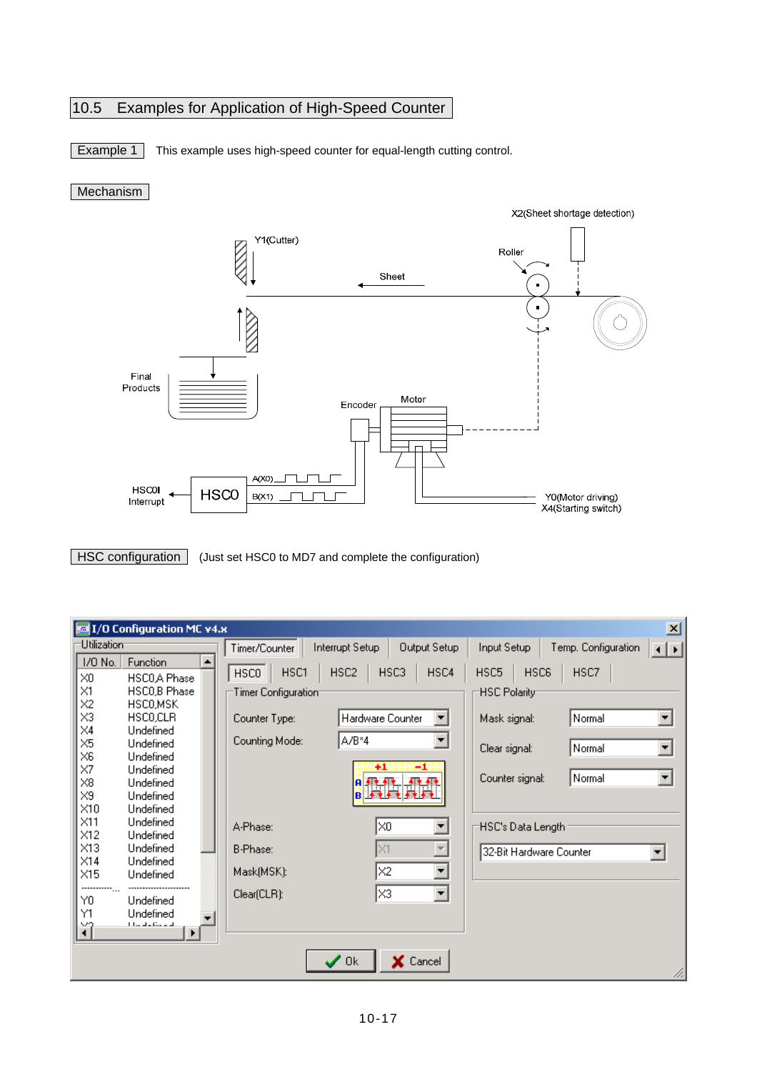# 10.5 Examples for Application of High-Speed Counter

**Example 1** This example uses high-speed counter for equal-length cutting control.

## Mechanism



HSC configuration (Just set HSC0 to MD7 and complete the configuration)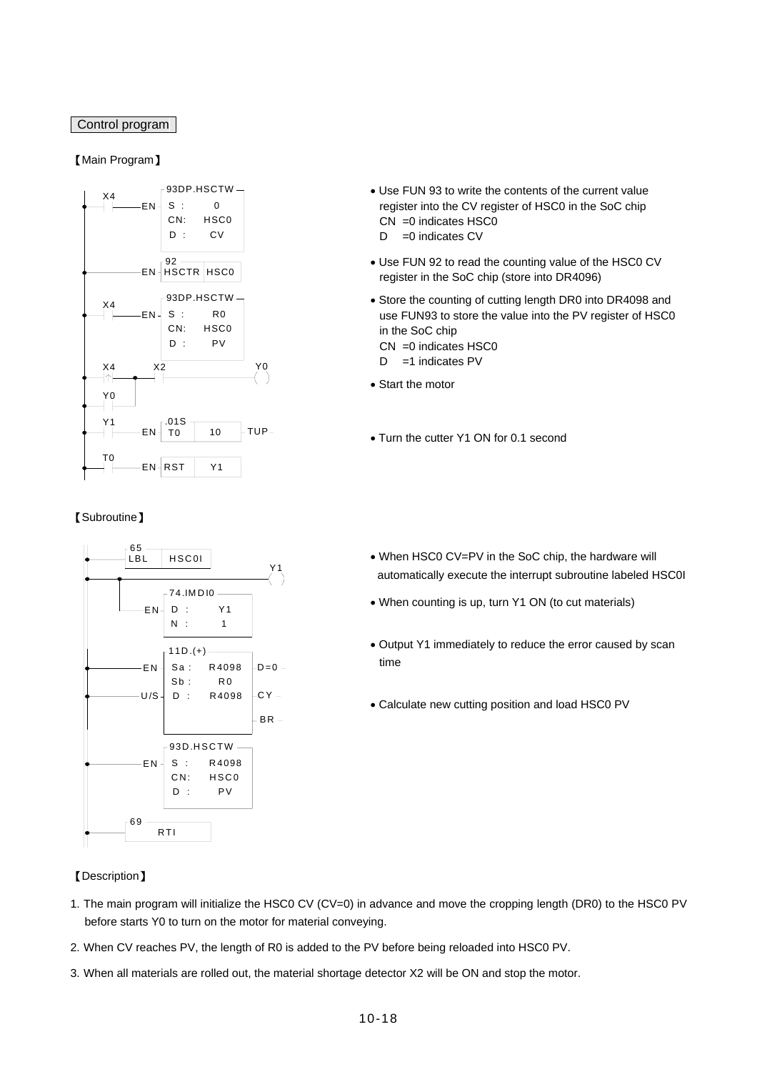## Control program

## 【Main Program】



### 【Subroutine】



#### 【Description】

- Use FUN 93 to write the contents of the current value register into the CV register of HSC0 in the SoC chip CN =0 indicates HSC0  $D = 0$  indicates CV
- Use FUN 92 to read the counting value of the HSC0 CV register in the SoC chip (store into DR4096)
- Store the counting of cutting length DR0 into DR4098 and use FUN93 to store the value into the PV register of HSC0 in the SoC chip
	- CN =0 indicates HSC0
	- D =1 indicates PV
- Start the motor
- Turn the cutter Y1 ON for 0.1 second
- When HSC0 CV=PV in the SoC chip, the hardware will automatically execute the interrupt subroutine labeled HSC0I
- When counting is up, turn Y1 ON (to cut materials)
- Output Y1 immediately to reduce the error caused by scan time
- Calculate new cutting position and load HSC0 PV

- 1. The main program will initialize the HSC0 CV (CV=0) in advance and move the cropping length (DR0) to the HSC0 PV before starts Y0 to turn on the motor for material conveying.
- 2. When CV reaches PV, the length of R0 is added to the PV before being reloaded into HSC0 PV.
- 3. When all materials are rolled out, the material shortage detector X2 will be ON and stop the motor.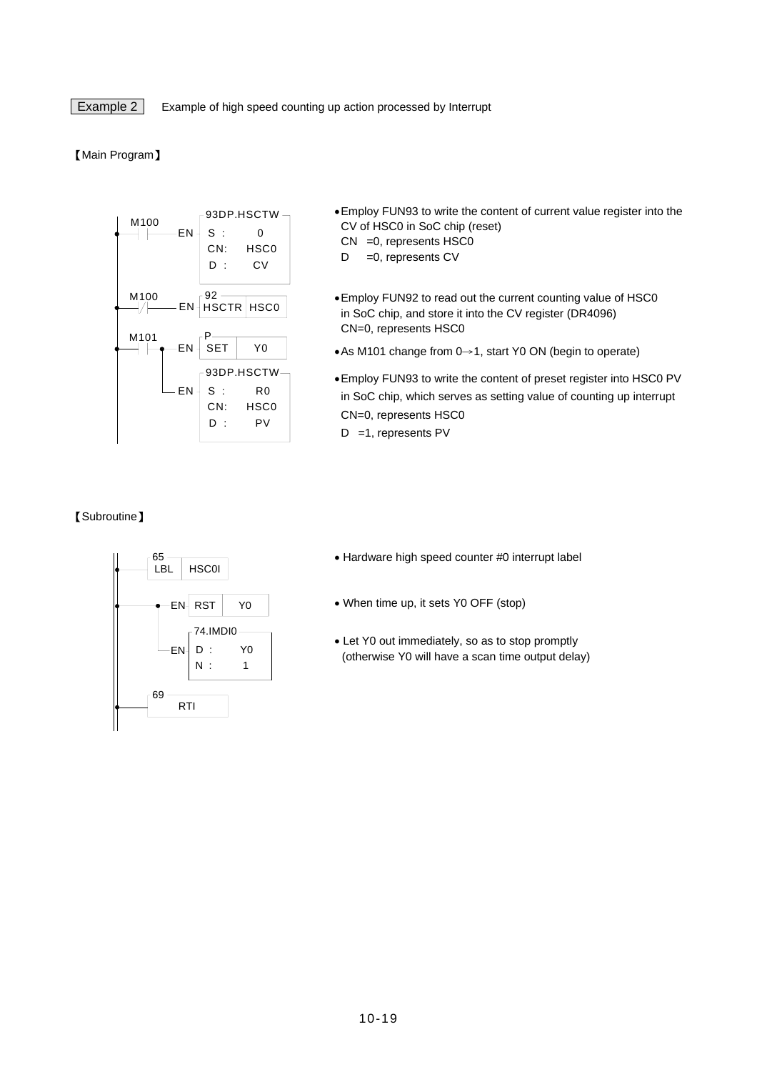Example 2 Example of high speed counting up action processed by Interrupt

#### 【Main Program】



- •Employ FUN93 to write the content of current value register into the CV of HSC0 in SoC chip (reset)
	- CN =0, represents HSC0
	- $D = 0$ , represents CV
- •Employ FUN92 to read out the current counting value of HSC0 in SoC chip, and store it into the CV register (DR4096) CN=0, represents HSC0
- •As M101 change from 0→1, start Y0 ON (begin to operate)
- •Employ FUN93 to write the content of preset register into HSC0 PV in SoC chip, which serves as setting value of counting up interrupt CN=0, represents HSC0
- D =1, represents PV

#### 【Subroutine】



- Hardware high speed counter #0 interrupt label
- When time up, it sets Y0 OFF (stop)
- Let Y0 out immediately, so as to stop promptly (otherwise Y0 will have a scan time output delay)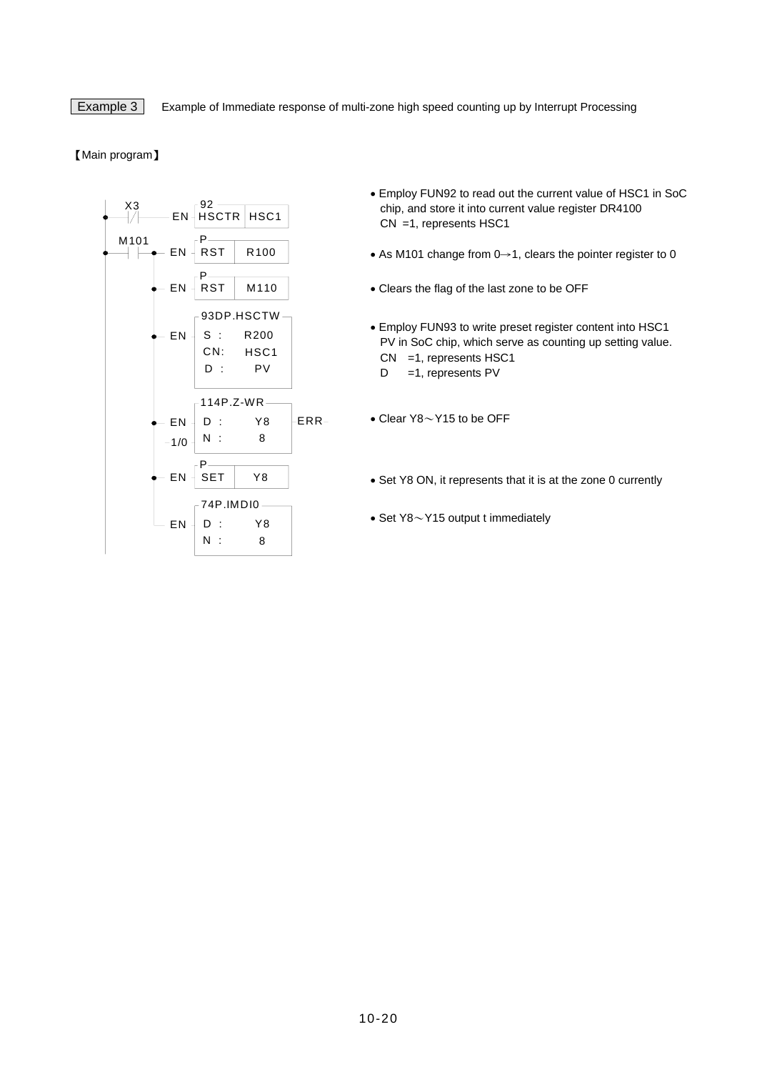**Example 3** Example of Immediate response of multi-zone high speed counting up by Interrupt Processing

#### 【Main program】



- Employ FUN92 to read out the current value of HSC1 in SoC chip, and store it into current value register DR4100 CN =1, represents HSC1
- As M101 change from 0→1, clears the pointer register to 0
- Clears the flag of the last zone to be OFF
- Employ FUN93 to write preset register content into HSC1 PV in SoC chip, which serve as counting up setting value. CN =1, represents HSC1 D = 1, represents PV
- Clear Y8~Y15 to be OFF
- Set Y8 ON, it represents that it is at the zone 0 currently
- Set Y8~Y15 output t immediately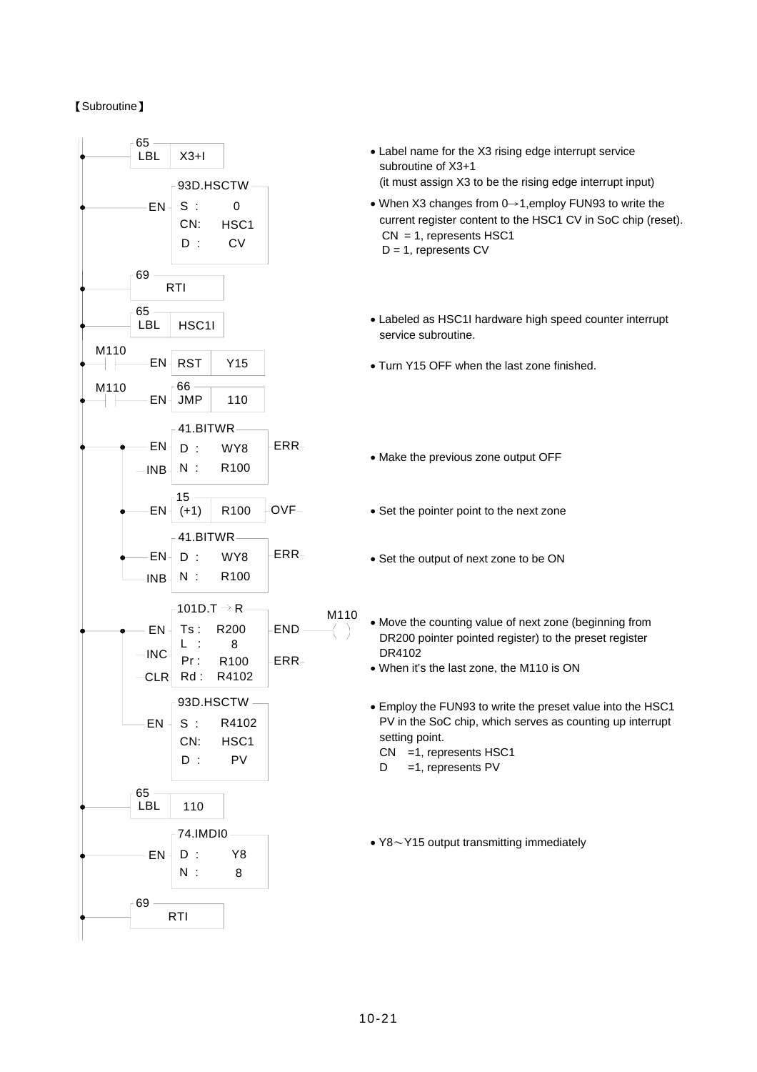## 【Subroutine】

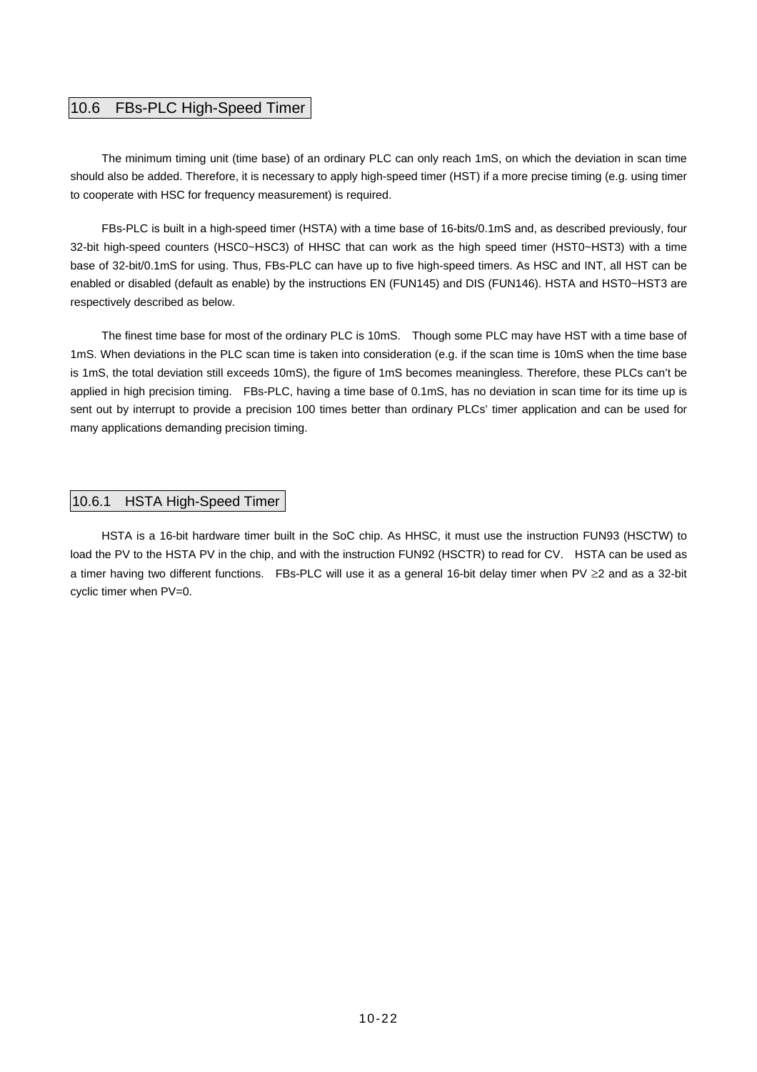## 10.6 FBs-PLC High-Speed Timer

The minimum timing unit (time base) of an ordinary PLC can only reach 1mS, on which the deviation in scan time should also be added. Therefore, it is necessary to apply high-speed timer (HST) if a more precise timing (e.g. using timer to cooperate with HSC for frequency measurement) is required.

FBs-PLC is built in a high-speed timer (HSTA) with a time base of 16-bits/0.1mS and, as described previously, four 32-bit high-speed counters (HSC0~HSC3) of HHSC that can work as the high speed timer (HST0~HST3) with a time base of 32-bit/0.1mS for using. Thus, FBs-PLC can have up to five high-speed timers. As HSC and INT, all HST can be enabled or disabled (default as enable) by the instructions EN (FUN145) and DIS (FUN146). HSTA and HST0~HST3 are respectively described as below.

The finest time base for most of the ordinary PLC is 10mS. Though some PLC may have HST with a time base of 1mS. When deviations in the PLC scan time is taken into consideration (e.g. if the scan time is 10mS when the time base is 1mS, the total deviation still exceeds 10mS), the figure of 1mS becomes meaningless. Therefore, these PLCs can't be applied in high precision timing. FBs-PLC, having a time base of 0.1mS, has no deviation in scan time for its time up is sent out by interrupt to provide a precision 100 times better than ordinary PLCs' timer application and can be used for many applications demanding precision timing.

#### 10.6.1 HSTA High-Speed Timer

HSTA is a 16-bit hardware timer built in the SoC chip. As HHSC, it must use the instruction FUN93 (HSCTW) to load the PV to the HSTA PV in the chip, and with the instruction FUN92 (HSCTR) to read for CV. HSTA can be used as a timer having two different functions. FBs-PLC will use it as a general 16-bit delay timer when PV ≥2 and as a 32-bit cyclic timer when PV=0.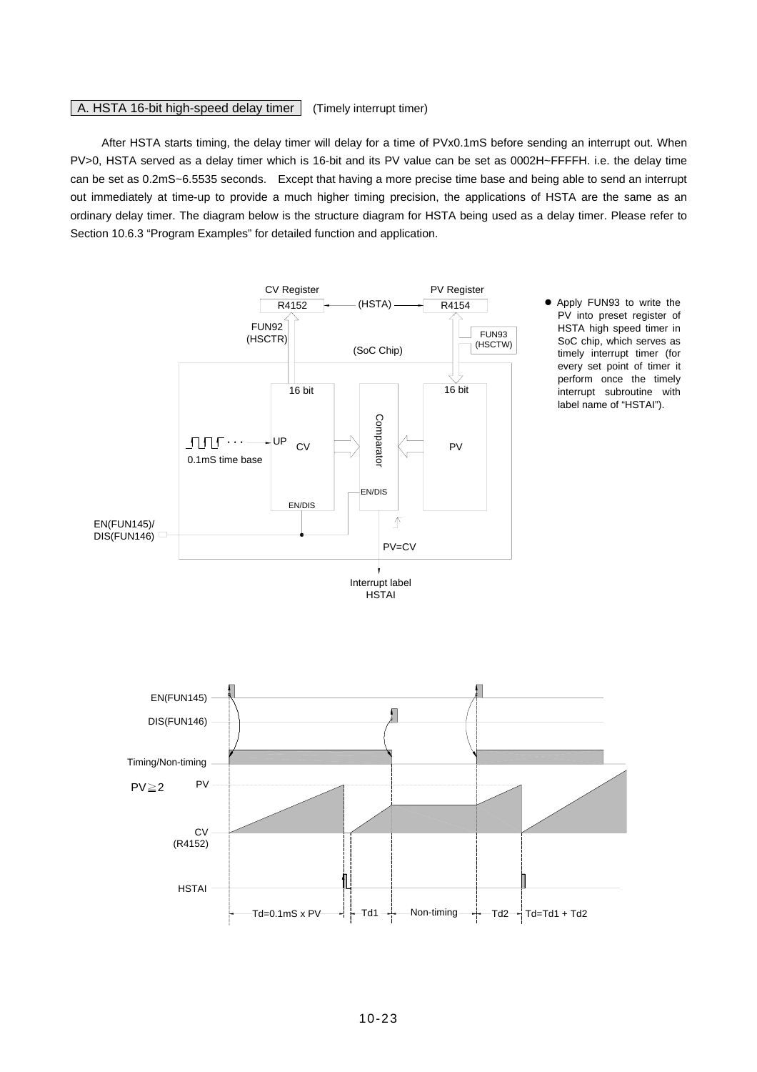## A. HSTA 16-bit high-speed delay timer (Timely interrupt timer)

After HSTA starts timing, the delay timer will delay for a time of PVx0.1mS before sending an interrupt out. When PV>0, HSTA served as a delay timer which is 16-bit and its PV value can be set as 0002H~FFFFH. i.e. the delay time can be set as 0.2mS~6.5535 seconds. Except that having a more precise time base and being able to send an interrupt out immediately at time-up to provide a much higher timing precision, the applications of HSTA are the same as an ordinary delay timer. The diagram below is the structure diagram for HSTA being used as a delay timer. Please refer to Section 10.6.3 "Program Examples" for detailed function and application.

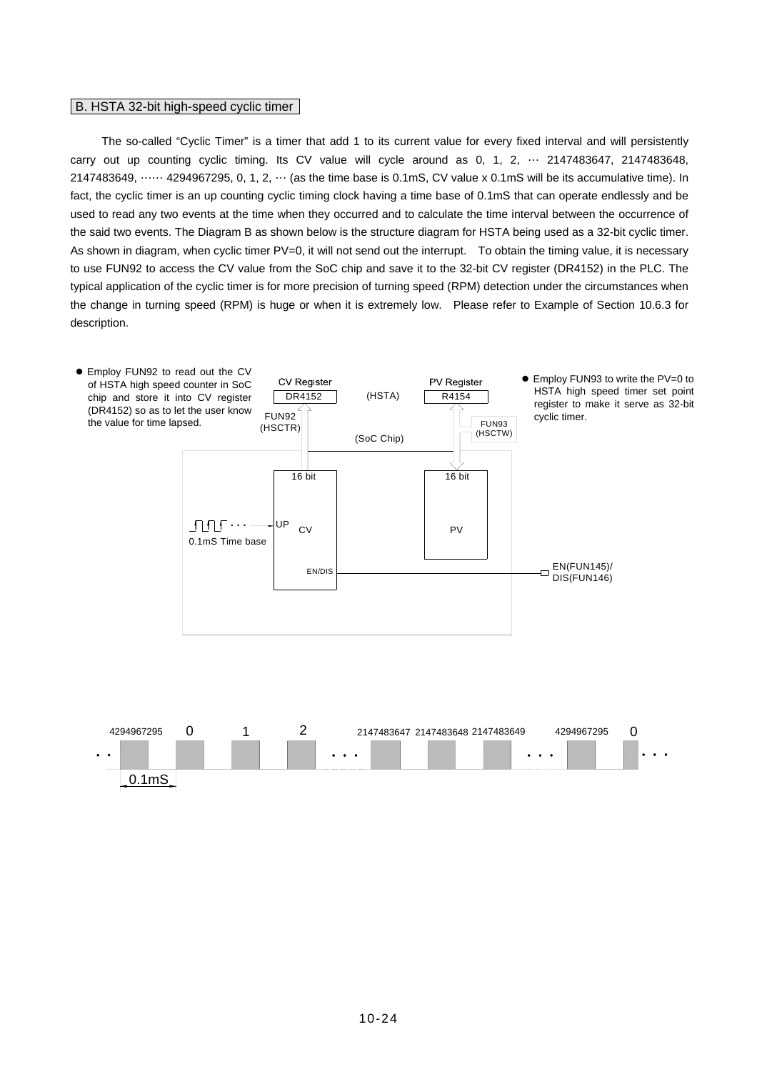#### B. HSTA 32-bit high-speed cyclic timer

The so-called "Cyclic Timer" is a timer that add 1 to its current value for every fixed interval and will persistently carry out up counting cyclic timing. Its CV value will cycle around as 0, 1, 2, … 2147483647, 2147483648, 2147483649, …… 4294967295, 0, 1, 2, … (as the time base is 0.1mS, CV value x 0.1mS will be its accumulative time). In fact, the cyclic timer is an up counting cyclic timing clock having a time base of 0.1mS that can operate endlessly and be used to read any two events at the time when they occurred and to calculate the time interval between the occurrence of the said two events. The Diagram B as shown below is the structure diagram for HSTA being used as a 32-bit cyclic timer. As shown in diagram, when cyclic timer PV=0, it will not send out the interrupt. To obtain the timing value, it is necessary to use FUN92 to access the CV value from the SoC chip and save it to the 32-bit CV register (DR4152) in the PLC. The typical application of the cyclic timer is for more precision of turning speed (RPM) detection under the circumstances when the change in turning speed (RPM) is huge or when it is extremely low. Please refer to Example of Section 10.6.3 for description.



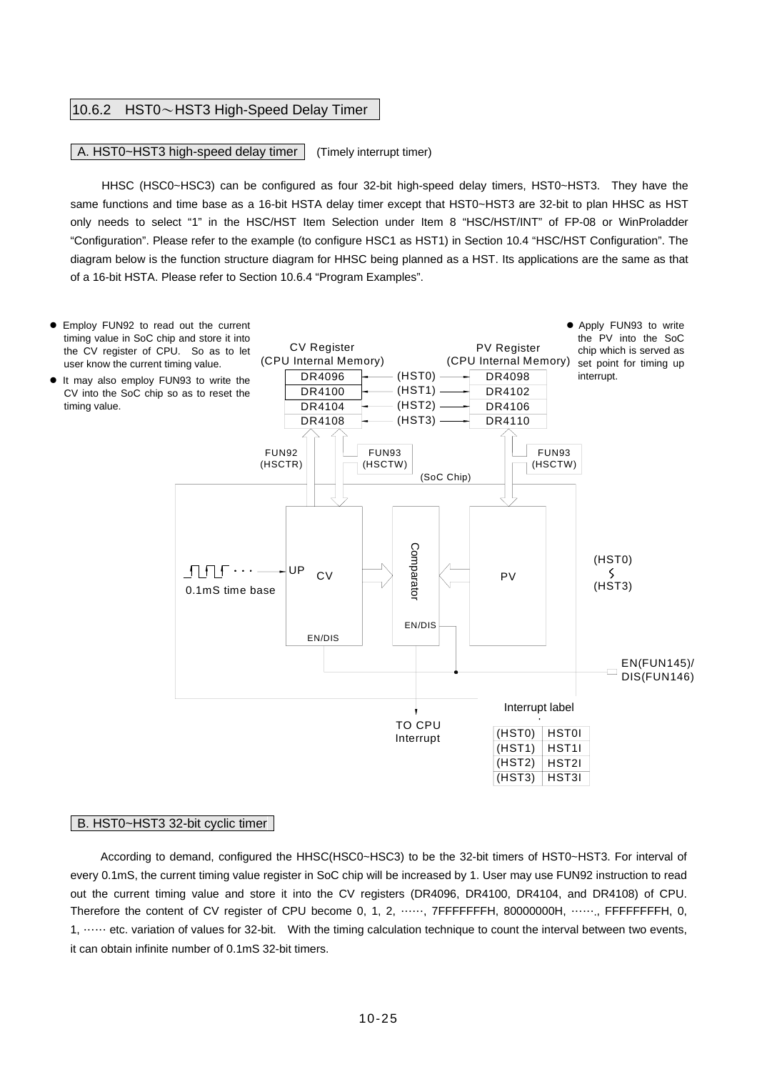#### 10.6.2 HST0~HST3 High-Speed Delay Timer

#### A. HST0~HST3 high-speed delay timer | (Timely interrupt timer)

HHSC (HSC0~HSC3) can be configured as four 32-bit high-speed delay timers, HST0~HST3. They have the same functions and time base as a 16-bit HSTA delay timer except that HST0~HST3 are 32-bit to plan HHSC as HST only needs to select "1" in the HSC/HST Item Selection under Item 8 "HSC/HST/INT" of FP-08 or WinProladder "Configuration". Please refer to the example (to configure HSC1 as HST1) in Section 10.4 "HSC/HST Configuration". The diagram below is the function structure diagram for HHSC being planned as a HST. Its applications are the same as that of a 16-bit HSTA. Please refer to Section 10.6.4 "Program Examples".



#### B. HST0~HST3 32-bit cyclic timer

According to demand, configured the HHSC(HSC0~HSC3) to be the 32-bit timers of HST0~HST3. For interval of every 0.1mS, the current timing value register in SoC chip will be increased by 1. User may use FUN92 instruction to read out the current timing value and store it into the CV registers (DR4096, DR4100, DR4104, and DR4108) of CPU. Therefore the content of CV register of CPU become 0, 1, 2, ……, 7FFFFFFFH, 80000000H, ……., FFFFFFFFH, 0, 1, …… etc. variation of values for 32-bit. With the timing calculation technique to count the interval between two events, it can obtain infinite number of 0.1mS 32-bit timers.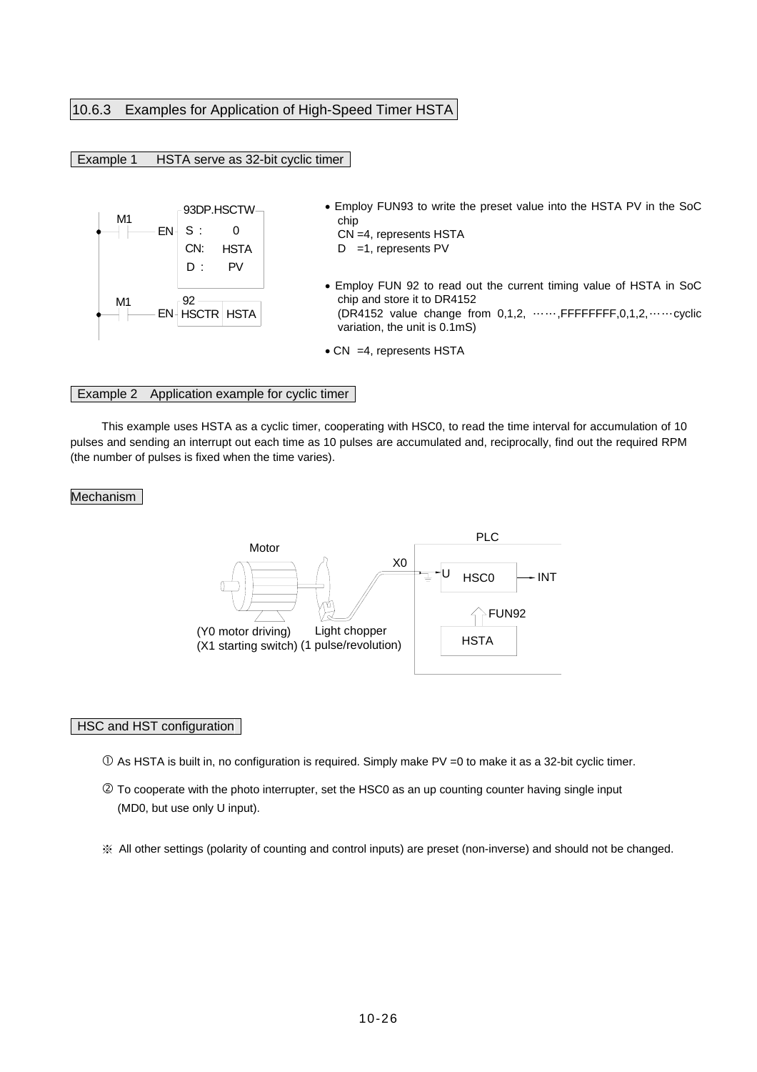## 10.6.3 Examples for Application of High-Speed Timer HSTA

### Example 1 HSTA serve as 32-bit cyclic timer



- 93DP.HSCTW Employ FUN93 to write the preset value into the HSTA PV in the SoC chip
	- CN =4, represents HSTA  $D = 1$ , represents PV
		-
	- Employ FUN 92 to read out the current timing value of HSTA in SoC chip and store it to DR4152 (DR4152 value change from 0,1,2, ……,FFFFFFFF,0,1,2,……cyclic variation, the unit is 0.1mS)
	- CN = 4, represents HSTA

#### Example 2 Application example for cyclic timer

This example uses HSTA as a cyclic timer, cooperating with HSC0, to read the time interval for accumulation of 10 pulses and sending an interrupt out each time as 10 pulses are accumulated and, reciprocally, find out the required RPM (the number of pulses is fixed when the time varies).

#### Mechanism



#### HSC and HST configuration

- $\overline{O}$  As HSTA is built in, no configuration is required. Simply make PV =0 to make it as a 32-bit cyclic timer.
- d To cooperate with the photo interrupter, set the HSC0 as an up counting counter having single input (MD0, but use only U input).
- ※ All other settings (polarity of counting and control inputs) are preset (non-inverse) and should not be changed.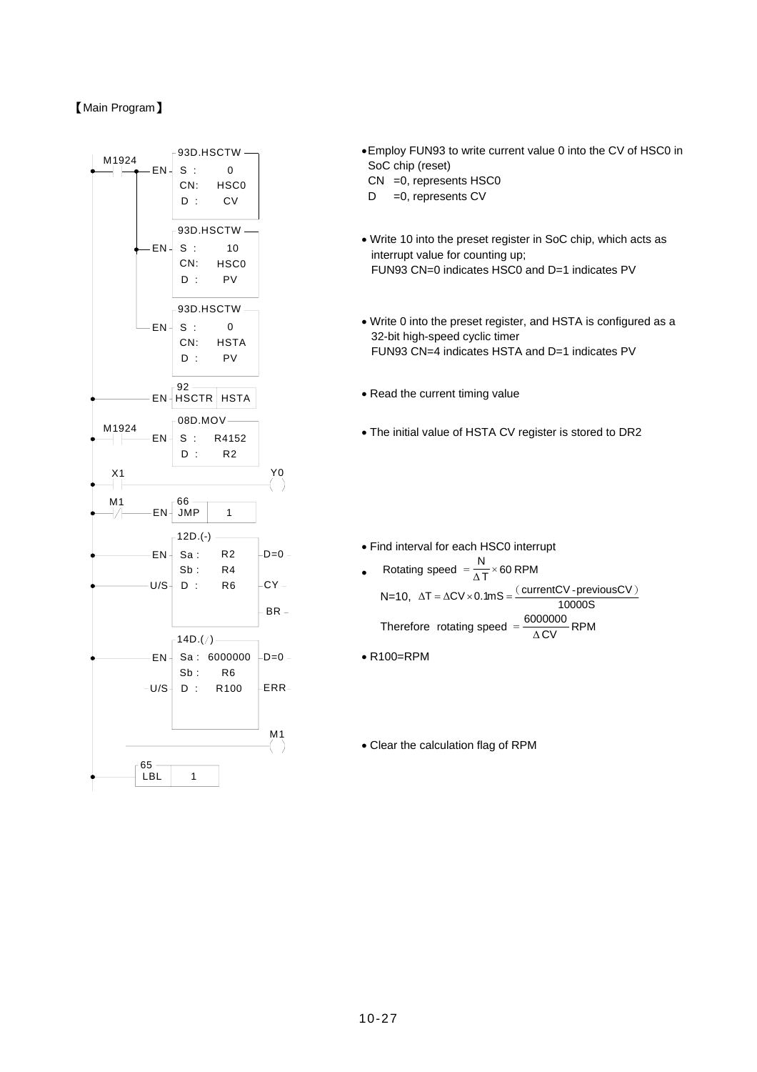## 【Main Program】



- •Employ FUN93 to write current value 0 into the CV of HSC0 in SoC chip (reset)
- CN =0, represents HSC0
- $D = 0$ , represents CV
- Write 10 into the preset register in SoC chip, which acts as interrupt value for counting up; FUN93 CN=0 indicates HSC0 and D=1 indicates PV
- Write 0 into the preset register, and HSTA is configured as a 32-bit high-speed cyclic timer FUN93 CN=4 indicates HSTA and D=1 indicates PV
- Read the current timing value
- The initial value of HSTA CV register is stored to DR2
- Find interval for each HSC0 interrupt
- Rotating speed  $=$   $\frac{N}{\Delta T}$  × 60 RPM N=10,  $\Delta T = \Delta CV \times 0.1 \text{mS} = \frac{(\text{currentCV-previousCV})}{10000 \text{S}}$ Therefore rotating speed =  $\frac{6000000}{\Delta \text{CV}}$ RPM
- R100=RPM
- Clear the calculation flag of RPM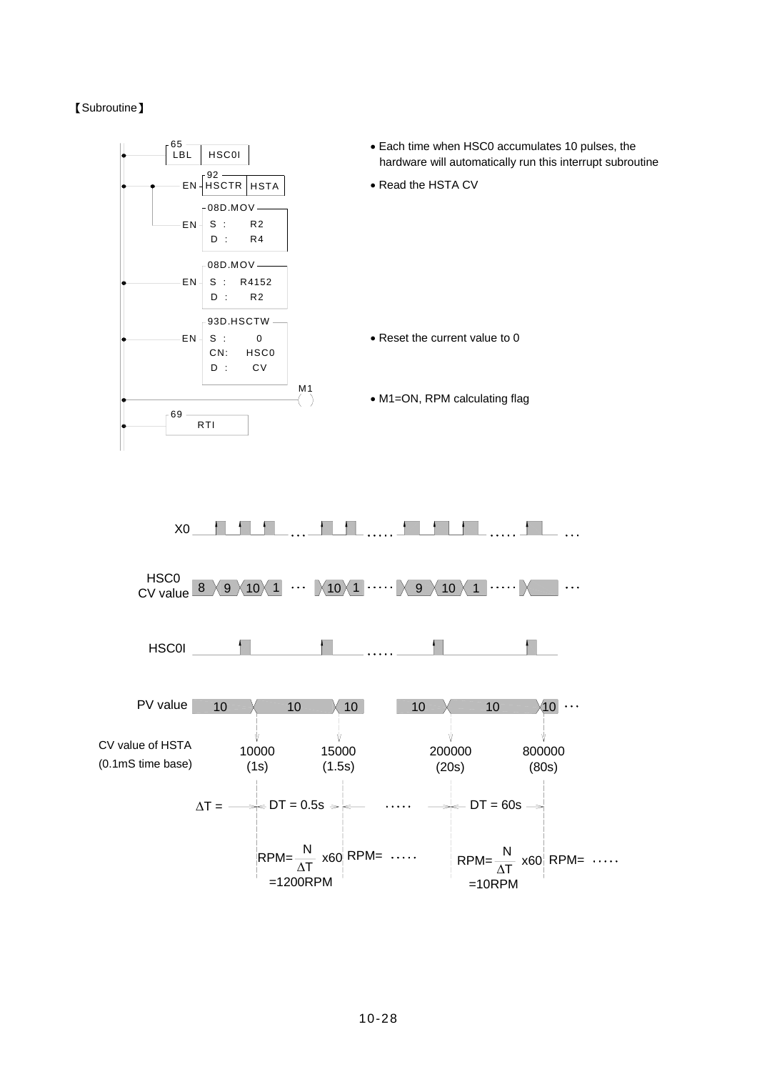#### 【Subroutine】

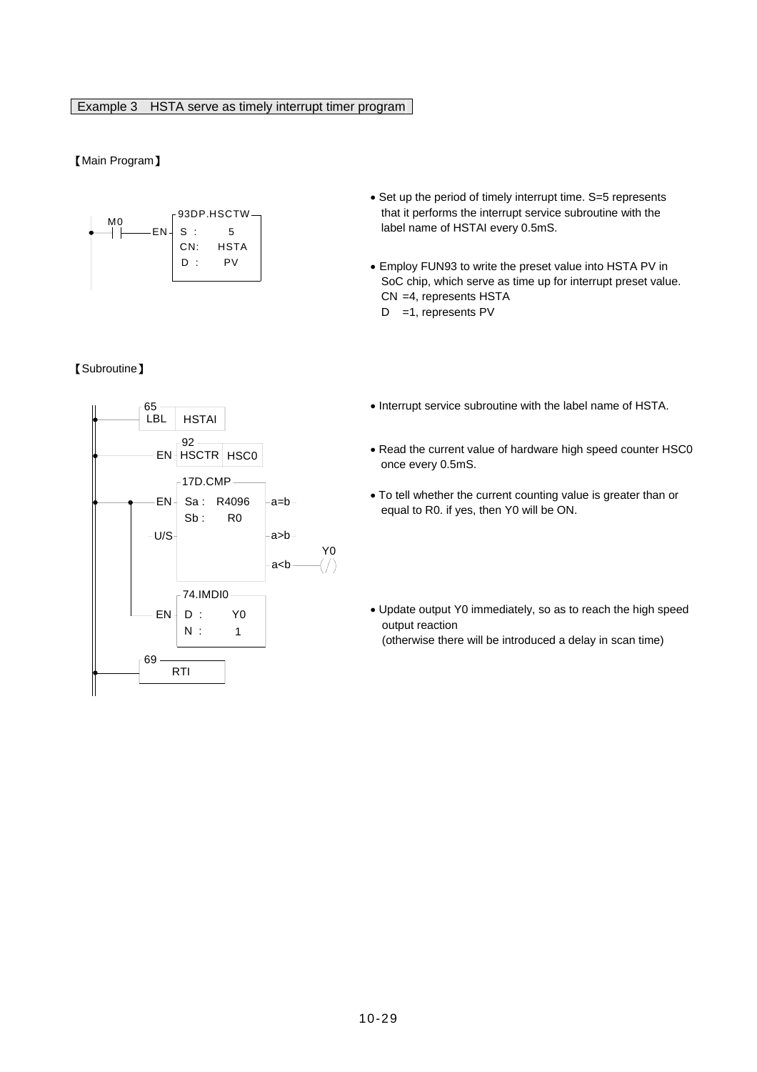## Example 3 HSTA serve as timely interrupt timer program

## 【Main Program】



#### 【Subroutine】

- Set up the period of timely interrupt time. S=5 represents that it performs the interrupt service subroutine with the label name of HSTAI every 0.5mS.
- Employ FUN93 to write the preset value into HSTA PV in SoC chip, which serve as time up for interrupt preset value. CN =4, represents HSTA D =1, represents PV
- Interrupt service subroutine with the label name of HSTA.
- Read the current value of hardware high speed counter HSC0 once every 0.5mS.
- To tell whether the current counting value is greater than or equal to R0. if yes, then Y0 will be ON.
- Update output Y0 immediately, so as to reach the high speed output reaction (otherwise there will be introduced a delay in scan time)

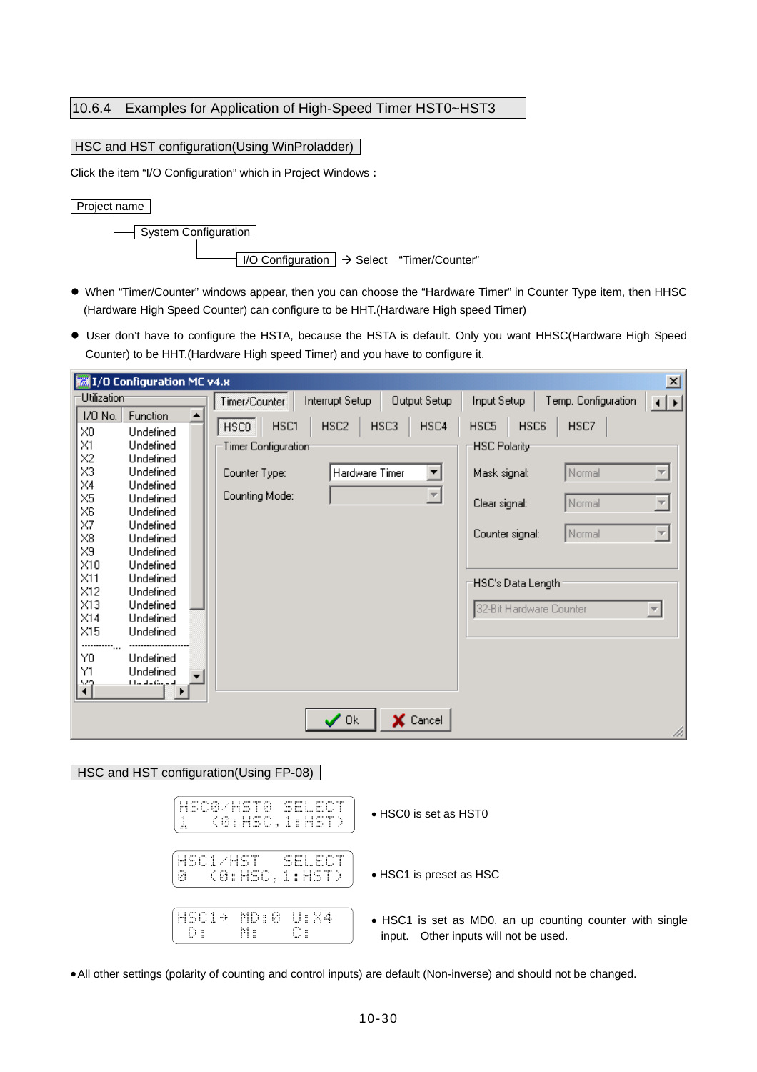# 10.6.4 Examples for Application of High-Speed Timer HST0~HST3

#### HSC and HST configuration(Using WinProladder)

Click the item "I/O Configuration" which in Project Windows **:** 



- When "Timer/Counter" windows appear, then you can choose the "Hardware Timer" in Counter Type item, then HHSC (Hardware High Speed Counter) can configure to be HHT.(Hardware High speed Timer)
- User don't have to configure the HSTA, because the HSTA is default. Only you want HHSC(Hardware High Speed Counter) to be HHT.(Hardware High speed Timer) and you have to configure it.

| <b>Box 1/0 Configuration MC v4.x</b>                                                                                                                                                                                                                                                                                                                                                                                                                                                                                                                                                                                                                                                                                      | 즤                                                                                                                                                                                                                                                                                          |
|---------------------------------------------------------------------------------------------------------------------------------------------------------------------------------------------------------------------------------------------------------------------------------------------------------------------------------------------------------------------------------------------------------------------------------------------------------------------------------------------------------------------------------------------------------------------------------------------------------------------------------------------------------------------------------------------------------------------------|--------------------------------------------------------------------------------------------------------------------------------------------------------------------------------------------------------------------------------------------------------------------------------------------|
| Utilization <sup>-</sup><br>Interrupt Setup<br>Output Setup<br>Timer/Counter                                                                                                                                                                                                                                                                                                                                                                                                                                                                                                                                                                                                                                              | Temp. Configuration<br>Input Setup<br>$\left  \cdot \right $                                                                                                                                                                                                                               |
| 1/0 No.<br>Function<br>HSC <sub>2</sub><br>HSC3<br>HSC4<br>HSC1<br><b>HSCO</b><br>$\times 0$<br>Undefined<br>$\times1$<br>Undefined<br><b>Timer Configuration®</b><br>X <sub>2</sub><br>Undefined<br>X3<br>Undefined<br>Hardware Timer<br>Counter Type:<br>▼<br>$\times4$<br>Undefined<br>론<br>Counting Mode:<br>$\times 5$<br>Undefined<br>$\times 6$<br>Undefined<br>$\times$ 7<br>Undefined<br>$\times 8$<br>Undefined<br>$\times 9$<br>Undefined<br>$\times10$<br>Undefined<br>$\times$ 11<br>Undefined<br>X12<br>Undefined<br>X13<br>Undefined<br>$\times$ 14<br>Undefined<br>$\times$ 15<br>Undefined<br><sub></sub><br>YO.<br>Undefined<br>Υ1<br>Undefined<br>ĭî<br>المستحيد والمساحل<br>X Cancel<br>$\swarrow$ Ok | HSC6<br>HSC5<br>HSC7<br><b>HSC Polarity</b><br>Normal<br>Mask signal:<br>$\overline{\phantom{m}}$<br>$\overline{\nabla}$<br>Normal<br>Clear signal:<br>$\overline{\phantom{m}}$<br>Normal<br>Counter signal:<br>'HSC's Data Length'<br>32-Bit Hardware Counter<br>$\overline{\phantom{a}}$ |

#### HSC and HST configuration(Using FP-08)

| HSCO/HSTO SELECT<br>K0:HSC,1:HST)<br>1 | • HSC0 is set as HST0                                                                                |
|----------------------------------------|------------------------------------------------------------------------------------------------------|
| HSC1/HST SELECT<br>0 (0:HSC, 1:HST)    | • HSC1 is preset as HSC                                                                              |
| HSC1+ MD:0 U:X4<br>De Me<br>- C 5 .    | • HSC1 is set as MD0, an up counting counter with single<br>Other inputs will not be used.<br>input. |

•All other settings (polarity of counting and control inputs) are default (Non-inverse) and should not be changed.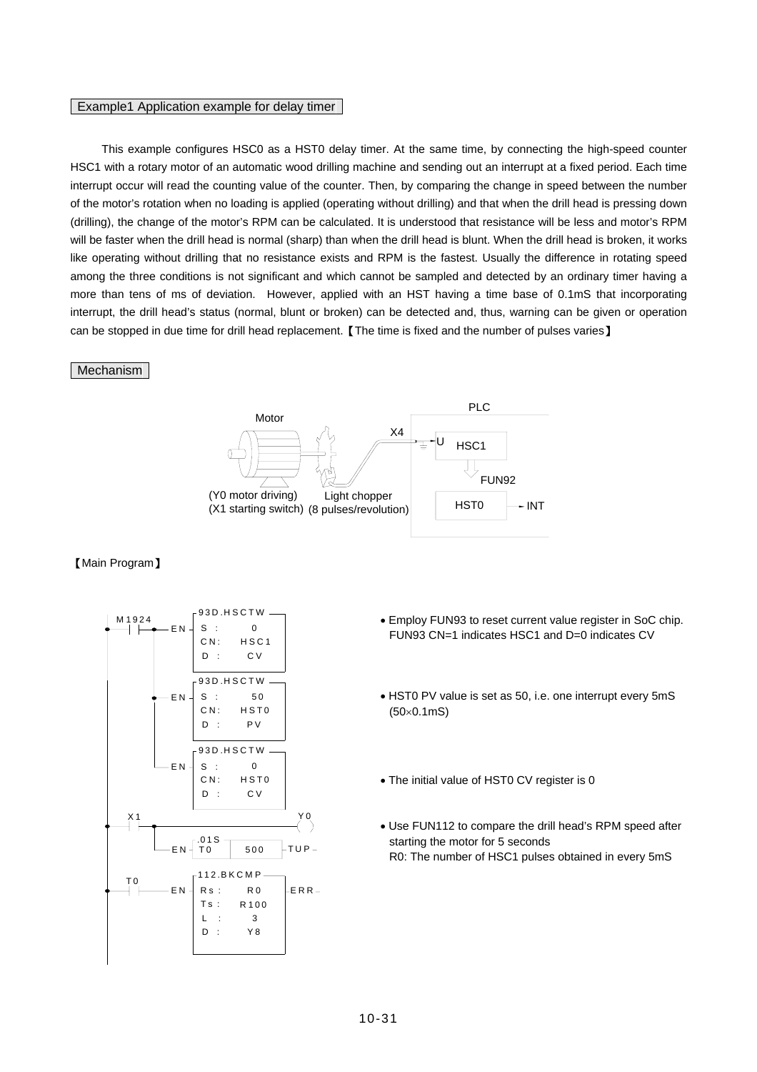#### Example1 Application example for delay timer

This example configures HSC0 as a HST0 delay timer. At the same time, by connecting the high-speed counter HSC1 with a rotary motor of an automatic wood drilling machine and sending out an interrupt at a fixed period. Each time interrupt occur will read the counting value of the counter. Then, by comparing the change in speed between the number of the motor's rotation when no loading is applied (operating without drilling) and that when the drill head is pressing down (drilling), the change of the motor's RPM can be calculated. It is understood that resistance will be less and motor's RPM will be faster when the drill head is normal (sharp) than when the drill head is blunt. When the drill head is broken, it works like operating without drilling that no resistance exists and RPM is the fastest. Usually the difference in rotating speed among the three conditions is not significant and which cannot be sampled and detected by an ordinary timer having a more than tens of ms of deviation. However, applied with an HST having a time base of 0.1mS that incorporating interrupt, the drill head's status (normal, blunt or broken) can be detected and, thus, warning can be given or operation can be stopped in due time for drill head replacement. 【The time is fixed and the number of pulses varies】

#### Mechanism



#### 【Main Program】



- $S : 0$ <br>S :  $\begin{bmatrix} 0 & 0 \end{bmatrix}$   $\begin{bmatrix} 0 & 0 \end{bmatrix}$   $\begin{bmatrix} 0 & 0 \end{bmatrix}$   $\begin{bmatrix} 0 & 0 \end{bmatrix}$   $\begin{bmatrix} 0 & 0 \end{bmatrix}$   $\begin{bmatrix} 0 & 0 \end{bmatrix}$   $\begin{bmatrix} 0 & 0 \end{bmatrix}$ FUN93 CN=1 indicates HSC1 and D=0 indicates CV
	- HST0 PV value is set as 50, i.e. one interrupt every 5mS (50×0.1mS)
	- The initial value of HST0 CV register is 0
	- Use FUN112 to compare the drill head's RPM speed after starting the motor for 5 seconds R0: The number of HSC1 pulses obtained in every 5mS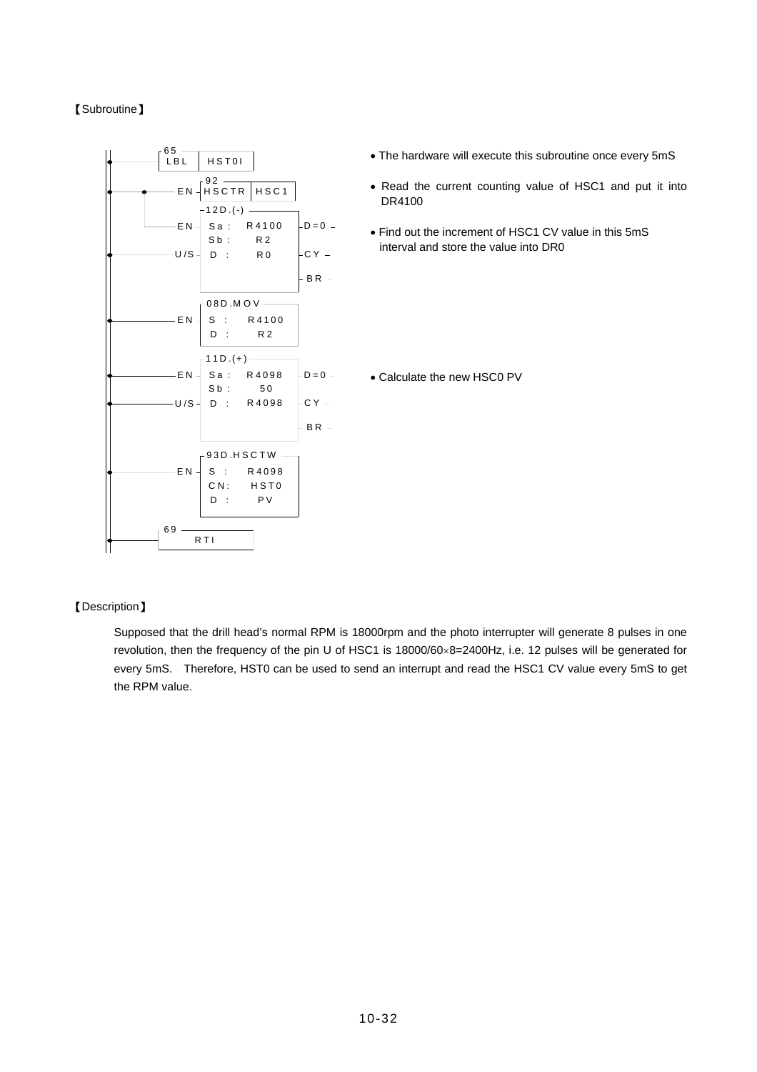## 【Subroutine】



## 【Description】

Supposed that the drill head's normal RPM is 18000rpm and the photo interrupter will generate 8 pulses in one revolution, then the frequency of the pin U of HSC1 is 18000/60×8=2400Hz, i.e. 12 pulses will be generated for every 5mS. Therefore, HST0 can be used to send an interrupt and read the HSC1 CV value every 5mS to get the RPM value.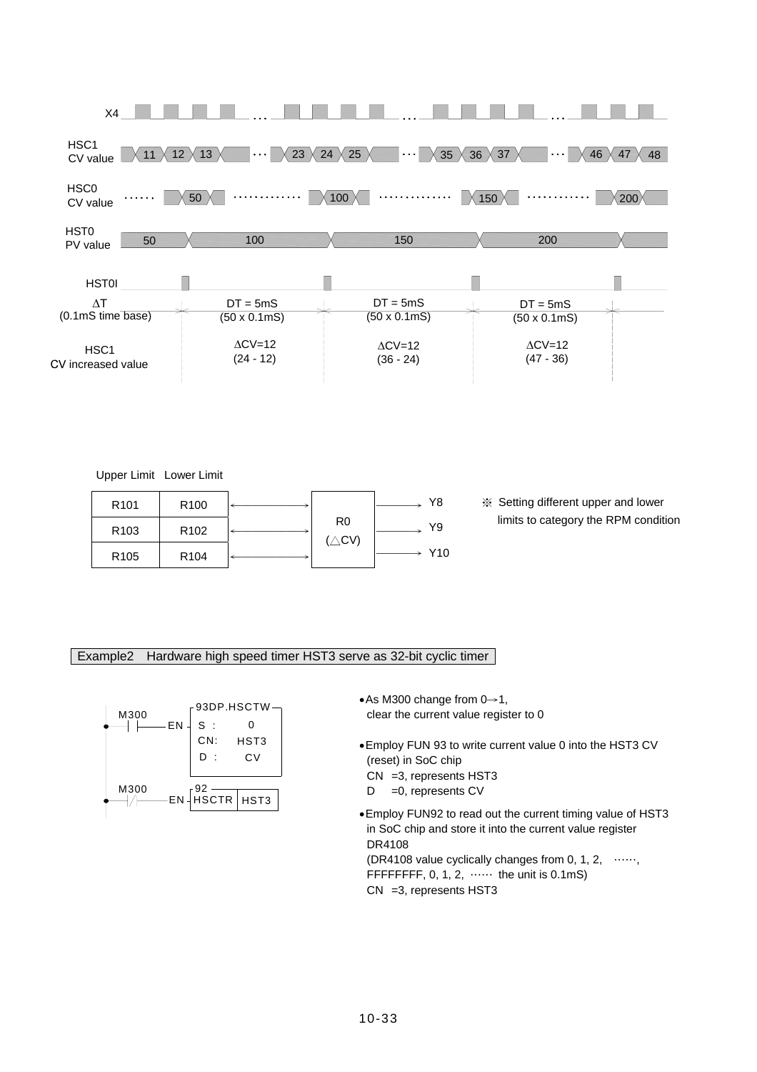

Upper Limit Lower Limit

| R <sub>101</sub> | R <sub>100</sub> |                                    | Y8  |
|------------------|------------------|------------------------------------|-----|
| R <sub>103</sub> | R <sub>102</sub> | R <sub>0</sub><br>$(\triangle$ CV) | Y9  |
| R <sub>105</sub> | R <sub>104</sub> |                                    | Y10 |

───→ Y8 ※ Setting different upper and lower limits to category the RPM condition

#### Example2 Hardware high speed timer HST3 serve as 32-bit cyclic timer



- •As M300 change from 0→1, clear the current value register to 0
- •Employ FUN 93 to write current value 0 into the HST3 CV (reset) in SoC chip CN =3, represents HST3
- D = 0, represents CV
- •Employ FUN92 to read out the current timing value of HST3 in SoC chip and store it into the current value register DR4108 (DR4108 value cyclically changes from 0, 1, 2, ……, FFFFFFFFF, 0, 1, 2,  $\cdots$  the unit is 0.1mS) CN =3, represents HST3